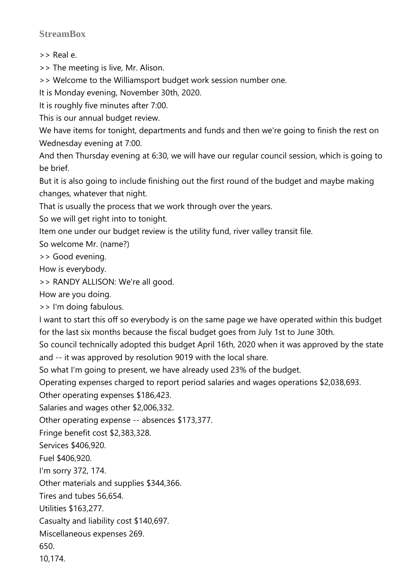## **StreamBox**

>> Real e.

>> The meeting is live, Mr. Alison.

>> Welcome to the Williamsport budget work session number one.

It is Monday evening, November 30th, 2020.

It is roughly five minutes after 7:00.

This is our annual budget review.

We have items for tonight, departments and funds and then we're going to finish the rest on Wednesday evening at 7:00.

And then Thursday evening at 6:30, we will have our regular council session, which is going to be brief.

But it is also going to include finishing out the first round of the budget and maybe making changes, whatever that night.

That is usually the process that we work through over the years.

So we will get right into to tonight.

Item one under our budget review is the utility fund, river valley transit file.

So welcome Mr. (name?)

>> Good evening.

How is everybody.

>> RANDY ALLISON: We're all good.

How are you doing.

>> I'm doing fabulous.

I want to start this off so everybody is on the same page we have operated within this budget for the last six months because the fiscal budget goes from July 1st to June 30th.

So council technically adopted this budget April 16th, 2020 when it was approved by the state and -- it was approved by resolution 9019 with the local share.

So what I'm going to present, we have already used 23% of the budget.

Operating expenses charged to report period salaries and wages operations \$2,038,693.

Other operating expenses \$186,423.

Salaries and wages other \$2,006,332.

Other operating expense -- absences \$173,377.

Fringe benefit cost \$2,383,328.

Services \$406,920.

Fuel \$406,920.

I'm sorry 372, 174.

Other materials and supplies \$344,366.

Tires and tubes 56,654.

Utilities \$163,277.

Casualty and liability cost \$140,697.

Miscellaneous expenses 269.

650.

10,174.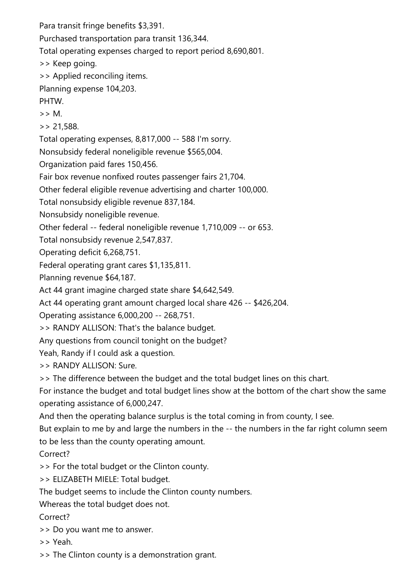Para transit fringe benefits \$3,391. Purchased transportation para transit 136,344. Total operating expenses charged to report period 8,690,801. >> Keep going. >> Applied reconciling items. Planning expense 104,203. PHTW. >> M.  $> 21.588$ . Total operating expenses, 8,817,000 -- 588 I'm sorry. Nonsubsidy federal noneligible revenue \$565,004.

Organization paid fares 150,456.

Fair box revenue nonfixed routes passenger fairs 21,704.

Other federal eligible revenue advertising and charter 100,000.

Total nonsubsidy eligible revenue 837,184.

Nonsubsidy noneligible revenue.

Other federal -- federal noneligible revenue 1,710,009 -- or 653.

Total nonsubsidy revenue 2,547,837.

Operating deficit 6,268,751.

Federal operating grant cares \$1,135,811.

Planning revenue \$64,187.

Act 44 grant imagine charged state share \$4,642,549.

Act 44 operating grant amount charged local share 426 -- \$426,204.

Operating assistance 6,000,200 -- 268,751.

>> RANDY ALLISON: That's the balance budget.

Any questions from council tonight on the budget?

Yeah, Randy if I could ask a question.

>> RANDY ALLISON: Sure.

>> The difference between the budget and the total budget lines on this chart.

For instance the budget and total budget lines show at the bottom of the chart show the same operating assistance of 6,000,247.

And then the operating balance surplus is the total coming in from county, I see.

But explain to me by and large the numbers in the -- the numbers in the far right column seem to be less than the county operating amount.

Correct?

>> For the total budget or the Clinton county.

>> ELIZABETH MIELE: Total budget.

The budget seems to include the Clinton county numbers.

Whereas the total budget does not.

Correct?

>> Do you want me to answer.

>> Yeah.

>> The Clinton county is a demonstration grant.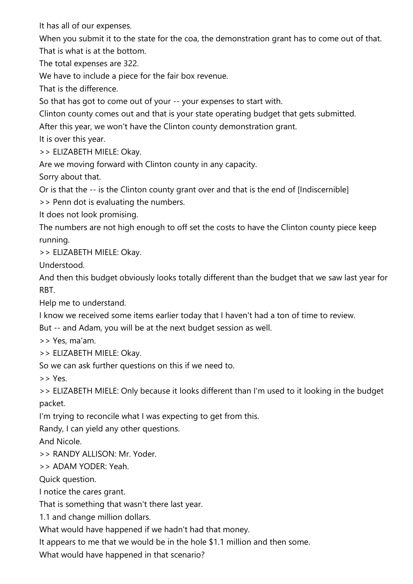It has all of our expenses.

When you submit it to the state for the coa, the demonstration grant has to come out of that. That is what is at the bottom.

The total expenses are 322.

We have to include a piece for the fair box revenue.

That is the difference.

So that has got to come out of your -- your expenses to start with.

Clinton county comes out and that is your state operating budget that gets submitted.

After this year, we won't have the Clinton county demonstration grant.

It is over this year.

>> ELIZABETH MIELE: Okay.

Are we moving forward with Clinton county in any capacity.

Sorry about that.

Or is that the -- is the Clinton county grant over and that is the end of [Indiscernible]

>> Penn dot is evaluating the numbers.

It does not look promising.

The numbers are not high enough to off set the costs to have the Clinton county piece keep running.

>> ELIZABETH MIELE: Okay.

Understood.

And then this budget obviously looks totally different than the budget that we saw last year for RBT.

Help me to understand.

I know we received some items earlier today that I haven't had a ton of time to review.

But -- and Adam, you will be at the next budget session as well.

>> Yes, ma'am.

>> ELIZABETH MIELE: Okay.

So we can ask further questions on this if we need to.

>> Yes.

>> ELIZABETH MIELE: Only because it looks different than I'm used to it looking in the budget packet.

I'm trying to reconcile what I was expecting to get from this.

Randy, I can yield any other questions.

And Nicole.

>> RANDY ALLISON: Mr. Yoder.

>> ADAM YODER: Yeah.

Quick question.

I notice the cares grant.

That is something that wasn't there last year.

1.1 and change million dollars.

What would have happened if we hadn't had that money.

It appears to me that we would be in the hole \$1.1 million and then some.

What would have happened in that scenario?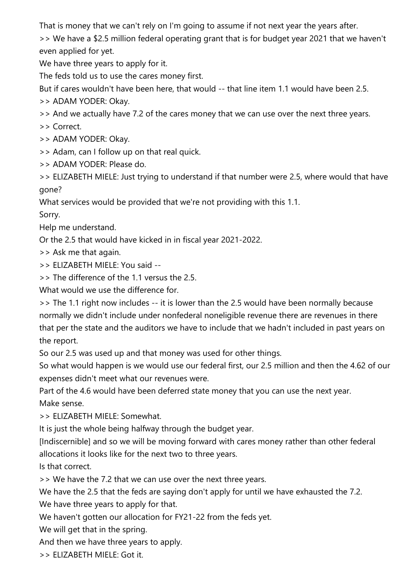That is money that we can't rely on I'm going to assume if not next year the years after.

>> We have a \$2.5 million federal operating grant that is for budget year 2021 that we haven't even applied for yet.

We have three years to apply for it.

The feds told us to use the cares money first.

But if cares wouldn't have been here, that would -- that line item 1.1 would have been 2.5.

>> ADAM YODER: Okay.

>> And we actually have 7.2 of the cares money that we can use over the next three years.

>> Correct.

>> ADAM YODER: Okay.

>> Adam, can I follow up on that real quick.

>> ADAM YODER: Please do.

>> ELIZABETH MIELE: Just trying to understand if that number were 2.5, where would that have gone?

What services would be provided that we're not providing with this 1.1.

Sorry.

Help me understand.

Or the 2.5 that would have kicked in in fiscal year 2021-2022.

>> Ask me that again.

>> ELIZABETH MIELE: You said --

>> The difference of the 1.1 versus the 2.5.

What would we use the difference for.

>> The 1.1 right now includes -- it is lower than the 2.5 would have been normally because normally we didn't include under nonfederal noneligible revenue there are revenues in there that per the state and the auditors we have to include that we hadn't included in past years on the report.

So our 2.5 was used up and that money was used for other things.

So what would happen is we would use our federal first, our 2.5 million and then the 4.62 of our expenses didn't meet what our revenues were.

Part of the 4.6 would have been deferred state money that you can use the next year. Make sense.

>> ELIZABETH MIELE: Somewhat.

It is just the whole being halfway through the budget year.

[Indiscernible] and so we will be moving forward with cares money rather than other federal allocations it looks like for the next two to three years.

Is that correct.

>> We have the 7.2 that we can use over the next three years.

We have the 2.5 that the feds are saying don't apply for until we have exhausted the 7.2.

We have three years to apply for that.

We haven't gotten our allocation for FY21-22 from the feds yet.

We will get that in the spring.

And then we have three years to apply.

>> ELIZABETH MIELE: Got it.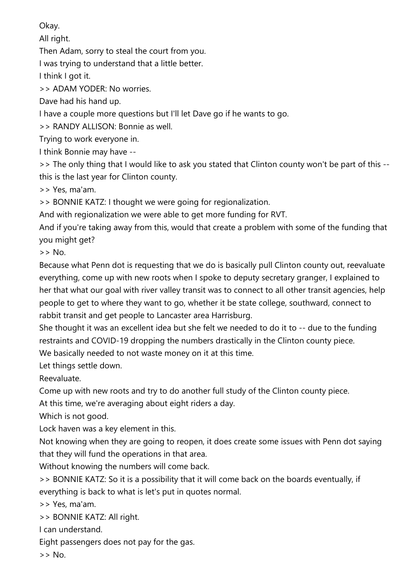Okay.

All right.

Then Adam, sorry to steal the court from you.

I was trying to understand that a little better.

I think I got it.

>> ADAM YODER: No worries.

Dave had his hand up.

I have a couple more questions but I'll let Dave go if he wants to go.

>> RANDY ALLISON: Bonnie as well.

Trying to work everyone in.

I think Bonnie may have --

>> The only thing that I would like to ask you stated that Clinton county won't be part of this - this is the last year for Clinton county.

>> Yes, ma'am.

>> BONNIE KATZ: I thought we were going for regionalization.

And with regionalization we were able to get more funding for RVT.

And if you're taking away from this, would that create a problem with some of the funding that you might get?

>> No.

Because what Penn dot is requesting that we do is basically pull Clinton county out, reevaluate everything, come up with new roots when I spoke to deputy secretary granger, I explained to her that what our goal with river valley transit was to connect to all other transit agencies, help people to get to where they want to go, whether it be state college, southward, connect to rabbit transit and get people to Lancaster area Harrisburg.

She thought it was an excellent idea but she felt we needed to do it to -- due to the funding restraints and COVID-19 dropping the numbers drastically in the Clinton county piece.

We basically needed to not waste money on it at this time.

Let things settle down.

Reevaluate.

Come up with new roots and try to do another full study of the Clinton county piece.

At this time, we're averaging about eight riders a day.

Which is not good.

Lock haven was a key element in this.

Not knowing when they are going to reopen, it does create some issues with Penn dot saying that they will fund the operations in that area.

Without knowing the numbers will come back.

>> BONNIE KATZ: So it is a possibility that it will come back on the boards eventually, if everything is back to what is let's put in quotes normal.

>> Yes, ma'am.

>> BONNIE KATZ: All right.

I can understand.

Eight passengers does not pay for the gas.

 $>$  No.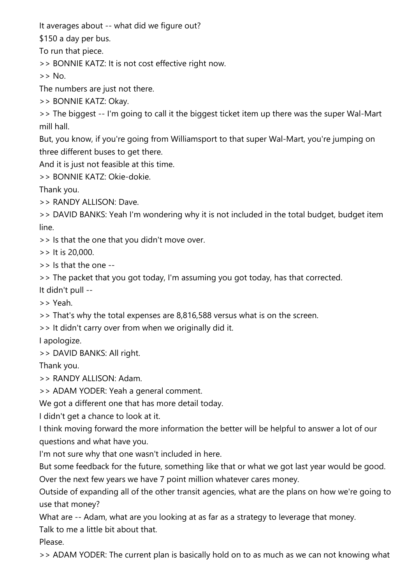It averages about -- what did we figure out?

\$150 a day per bus.

To run that piece.

>> BONNIE KATZ: It is not cost effective right now.

 $>>$  No.

The numbers are just not there.

>> BONNIE KATZ: Okay.

>> The biggest -- I'm going to call it the biggest ticket item up there was the super Wal-Mart mill hall.

But, you know, if you're going from Williamsport to that super Wal-Mart, you're jumping on three different buses to get there.

And it is just not feasible at this time.

>> BONNIE KATZ: Okie-dokie.

Thank you.

>> RANDY ALLISON: Dave.

>> DAVID BANKS: Yeah I'm wondering why it is not included in the total budget, budget item line.

>> Is that the one that you didn't move over.

>> It is 20,000.

 $\ge$  Is that the one  $-$ 

>> The packet that you got today, I'm assuming you got today, has that corrected.

It didn't pull --

>> Yeah.

>> That's why the total expenses are 8,816,588 versus what is on the screen.

>> It didn't carry over from when we originally did it.

I apologize.

>> DAVID BANKS: All right.

Thank you.

>> RANDY ALLISON: Adam.

>> ADAM YODER: Yeah a general comment.

We got a different one that has more detail today.

I didn't get a chance to look at it.

I think moving forward the more information the better will be helpful to answer a lot of our questions and what have you.

I'm not sure why that one wasn't included in here.

But some feedback for the future, something like that or what we got last year would be good.

Over the next few years we have 7 point million whatever cares money.

Outside of expanding all of the other transit agencies, what are the plans on how we're going to use that money?

What are -- Adam, what are you looking at as far as a strategy to leverage that money.

Talk to me a little bit about that.

Please.

>> ADAM YODER: The current plan is basically hold on to as much as we can not knowing what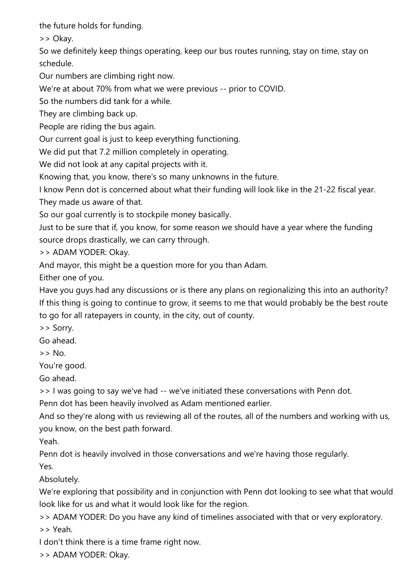the future holds for funding.

>> Okay.

So we definitely keep things operating, keep our bus routes running, stay on time, stay on schedule.

Our numbers are climbing right now.

We're at about 70% from what we were previous -- prior to COVID.

So the numbers did tank for a while.

They are climbing back up.

People are riding the bus again.

Our current goal is just to keep everything functioning.

We did put that 7.2 million completely in operating.

We did not look at any capital projects with it.

Knowing that, you know, there's so many unknowns in the future.

I know Penn dot is concerned about what their funding will look like in the 21-22 fiscal year. They made us aware of that.

So our goal currently is to stockpile money basically.

Just to be sure that if, you know, for some reason we should have a year where the funding source drops drastically, we can carry through.

>> ADAM YODER: Okay.

And mayor, this might be a question more for you than Adam.

Either one of you.

Have you guys had any discussions or is there any plans on regionalizing this into an authority? If this thing is going to continue to grow, it seems to me that would probably be the best route to go for all ratepayers in county, in the city, out of county.

>> Sorry.

Go ahead.

>> No.

You're good.

Go ahead.

>> I was going to say we've had -- we've initiated these conversations with Penn dot.

Penn dot has been heavily involved as Adam mentioned earlier.

And so they're along with us reviewing all of the routes, all of the numbers and working with us, you know, on the best path forward.

Yeah.

Penn dot is heavily involved in those conversations and we're having those regularly.

Yes.

Absolutely.

We're exploring that possibility and in conjunction with Penn dot looking to see what that would look like for us and what it would look like for the region.

>> ADAM YODER: Do you have any kind of timelines associated with that or very exploratory. >> Yeah.

I don't think there is a time frame right now.

>> ADAM YODER: Okay.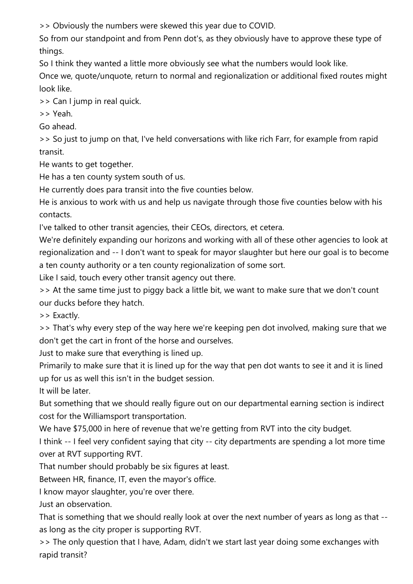>> Obviously the numbers were skewed this year due to COVID.

So from our standpoint and from Penn dot's, as they obviously have to approve these type of things.

So I think they wanted a little more obviously see what the numbers would look like.

Once we, quote/unquote, return to normal and regionalization or additional fixed routes might look like.

>> Can I jump in real quick.

>> Yeah.

Go ahead.

>> So just to jump on that, I've held conversations with like rich Farr, for example from rapid transit.

He wants to get together.

He has a ten county system south of us.

He currently does para transit into the five counties below.

He is anxious to work with us and help us navigate through those five counties below with his contacts.

I've talked to other transit agencies, their CEOs, directors, et cetera.

We're definitely expanding our horizons and working with all of these other agencies to look at regionalization and -- I don't want to speak for mayor slaughter but here our goal is to become a ten county authority or a ten county regionalization of some sort.

Like I said, touch every other transit agency out there.

>> At the same time just to piggy back a little bit, we want to make sure that we don't count our ducks before they hatch.

>> Exactly.

>> That's why every step of the way here we're keeping pen dot involved, making sure that we don't get the cart in front of the horse and ourselves.

Just to make sure that everything is lined up.

Primarily to make sure that it is lined up for the way that pen dot wants to see it and it is lined up for us as well this isn't in the budget session.

It will be later.

But something that we should really figure out on our departmental earning section is indirect cost for the Williamsport transportation.

We have \$75,000 in here of revenue that we're getting from RVT into the city budget.

I think -- I feel very confident saying that city -- city departments are spending a lot more time over at RVT supporting RVT.

That number should probably be six figures at least.

Between HR, finance, IT, even the mayor's office.

I know mayor slaughter, you're over there.

Just an observation.

That is something that we should really look at over the next number of years as long as that - as long as the city proper is supporting RVT.

>> The only question that I have, Adam, didn't we start last year doing some exchanges with rapid transit?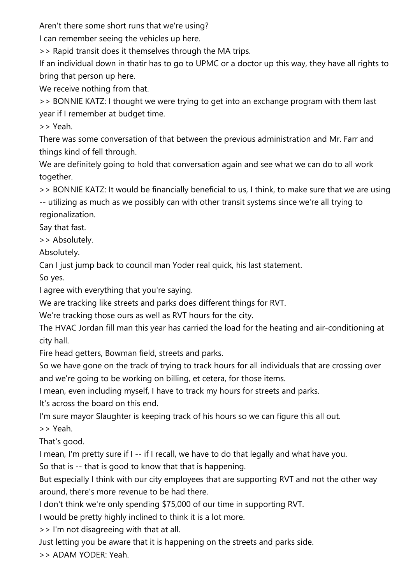Aren't there some short runs that we're using?

I can remember seeing the vehicles up here.

>> Rapid transit does it themselves through the MA trips.

If an individual down in thatir has to go to UPMC or a doctor up this way, they have all rights to bring that person up here.

We receive nothing from that.

>> BONNIE KATZ: I thought we were trying to get into an exchange program with them last year if I remember at budget time.

>> Yeah.

There was some conversation of that between the previous administration and Mr. Farr and things kind of fell through.

We are definitely going to hold that conversation again and see what we can do to all work together.

>> BONNIE KATZ: It would be financially beneficial to us, I think, to make sure that we are using

-- utilizing as much as we possibly can with other transit systems since we're all trying to regionalization.

Say that fast.

>> Absolutely.

Absolutely.

Can I just jump back to council man Yoder real quick, his last statement.

So yes.

I agree with everything that you're saying.

We are tracking like streets and parks does different things for RVT.

We're tracking those ours as well as RVT hours for the city.

The HVAC Jordan fill man this year has carried the load for the heating and air-conditioning at city hall.

Fire head getters, Bowman field, streets and parks.

So we have gone on the track of trying to track hours for all individuals that are crossing over and we're going to be working on billing, et cetera, for those items.

I mean, even including myself, I have to track my hours for streets and parks.

It's across the board on this end.

I'm sure mayor Slaughter is keeping track of his hours so we can figure this all out.

>> Yeah.

That's good.

I mean, I'm pretty sure if I -- if I recall, we have to do that legally and what have you.

So that is -- that is good to know that that is happening.

But especially I think with our city employees that are supporting RVT and not the other way around, there's more revenue to be had there.

I don't think we're only spending \$75,000 of our time in supporting RVT.

I would be pretty highly inclined to think it is a lot more.

>> I'm not disagreeing with that at all.

Just letting you be aware that it is happening on the streets and parks side.

>> ADAM YODER: Yeah.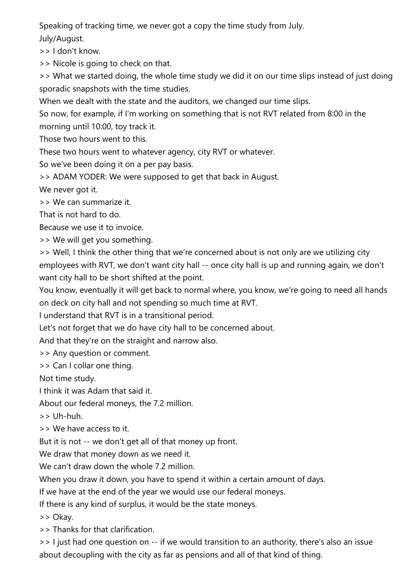Speaking of tracking time, we never got a copy the time study from July.

July/August.

>> I don't know.

>> Nicole is going to check on that.

>> What we started doing, the whole time study we did it on our time slips instead of just doing sporadic snapshots with the time studies.

When we dealt with the state and the auditors, we changed our time slips.

So now, for example, if I'm working on something that is not RVT related from 8:00 in the morning until 10:00, toy track it.

Those two hours went to this.

These two hours went to whatever agency, city RVT or whatever.

So we've been doing it on a per pay basis.

>> ADAM YODER: We were supposed to get that back in August.

We never got it.

>> We can summarize it.

That is not hard to do.

Because we use it to invoice.

>> We will get you something.

>> Well, I think the other thing that we're concerned about is not only are we utilizing city employees with RVT, we don't want city hall -- once city hall is up and running again, we don't want city hall to be short shifted at the point.

You know, eventually it will get back to normal where, you know, we're going to need all hands on deck on city hall and not spending so much time at RVT.

I understand that RVT is in a transitional period.

Let's not forget that we do have city hall to be concerned about.

And that they're on the straight and narrow also.

>> Any question or comment.

>> Can I collar one thing.

Not time study.

I think it was Adam that said it.

About our federal moneys, the 7.2 million.

>> Uh-huh.

>> We have access to it.

But it is not -- we don't get all of that money up front.

We draw that money down as we need it.

We can't draw down the whole 7.2 million.

When you draw it down, you have to spend it within a certain amount of days.

If we have at the end of the year we would use our federal moneys.

If there is any kind of surplus, it would be the state moneys.

>> Okay.

>> Thanks for that clarification.

>> I just had one question on -- if we would transition to an authority, there's also an issue about decoupling with the city as far as pensions and all of that kind of thing.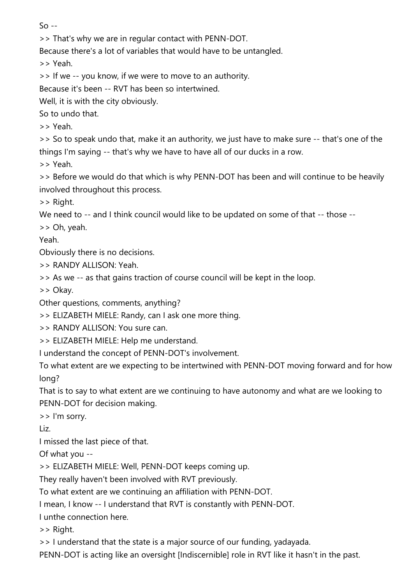$S<sub>0</sub>$  --

>> That's why we are in regular contact with PENN-DOT.

Because there's a lot of variables that would have to be untangled.

>> Yeah.

>> If we -- you know, if we were to move to an authority.

Because it's been -- RVT has been so intertwined.

Well, it is with the city obviously.

So to undo that.

>> Yeah.

>> So to speak undo that, make it an authority, we just have to make sure -- that's one of the things I'm saying -- that's why we have to have all of our ducks in a row.

>> Yeah.

>> Before we would do that which is why PENN-DOT has been and will continue to be heavily involved throughout this process.

>> Right.

We need to -- and I think council would like to be updated on some of that -- those --

>> Oh, yeah.

Yeah.

Obviously there is no decisions.

>> RANDY ALLISON: Yeah

>> As we -- as that gains traction of course council will be kept in the loop.

>> Okay.

Other questions, comments, anything?

>> ELIZABETH MIELE: Randy, can I ask one more thing.

>> RANDY ALLISON: You sure can.

>> ELIZABETH MIELE: Help me understand.

I understand the concept of PENN-DOT's involvement.

To what extent are we expecting to be intertwined with PENN-DOT moving forward and for how long?

That is to say to what extent are we continuing to have autonomy and what are we looking to PENN-DOT for decision making.

>> I'm sorry.

Liz.

I missed the last piece of that.

Of what you --

>> ELIZABETH MIELE: Well, PENN-DOT keeps coming up.

They really haven't been involved with RVT previously.

To what extent are we continuing an affiliation with PENN-DOT.

I mean, I know -- I understand that RVT is constantly with PENN-DOT.

I unthe connection here.

>> Right.

>> I understand that the state is a major source of our funding, yadayada.

PENN-DOT is acting like an oversight [Indiscernible] role in RVT like it hasn't in the past.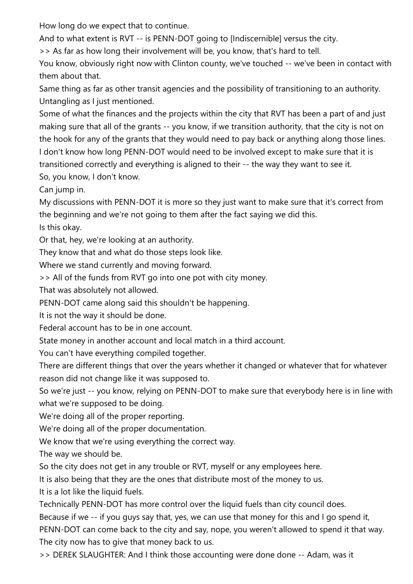How long do we expect that to continue.

And to what extent is RVT -- is PENN-DOT going to [Indiscernible] versus the city.

>> As far as how long their involvement will be, you know, that's hard to tell.

You know, obviously right now with Clinton county, we've touched -- we've been in contact with them about that.

Same thing as far as other transit agencies and the possibility of transitioning to an authority. Untangling as I just mentioned.

Some of what the finances and the projects within the city that RVT has been a part of and just making sure that all of the grants -- you know, if we transition authority, that the city is not on the hook for any of the grants that they would need to pay back or anything along those lines. I don't know how long PENN-DOT would need to be involved except to make sure that it is transitioned correctly and everything is aligned to their -- the way they want to see it. So, you know, I don't know.

Can jump in.

My discussions with PENN-DOT it is more so they just want to make sure that it's correct from the beginning and we're not going to them after the fact saying we did this.

Is this okay.

Or that, hey, we're looking at an authority.

They know that and what do those steps look like.

Where we stand currently and moving forward.

>> All of the funds from RVT go into one pot with city money.

That was absolutely not allowed.

PENN-DOT came along said this shouldn't be happening.

It is not the way it should be done.

Federal account has to be in one account.

State money in another account and local match in a third account.

You can't have everything compiled together.

There are different things that over the years whether it changed or whatever that for whatever reason did not change like it was supposed to.

So we're just -- you know, relying on PENN-DOT to make sure that everybody here is in line with what we're supposed to be doing.

We're doing all of the proper reporting.

We're doing all of the proper documentation.

We know that we're using everything the correct way.

The way we should be.

So the city does not get in any trouble or RVT, myself or any employees here.

It is also being that they are the ones that distribute most of the money to us.

It is a lot like the liquid fuels.

Technically PENN-DOT has more control over the liquid fuels than city council does.

Because if we -- if you guys say that, yes, we can use that money for this and I go spend it, PENN-DOT can come back to the city and say, nope, you weren't allowed to spend it that way. The city now has to give that money back to us.

>> DEREK SLAUGHTER: And I think those accounting were done done -- Adam, was it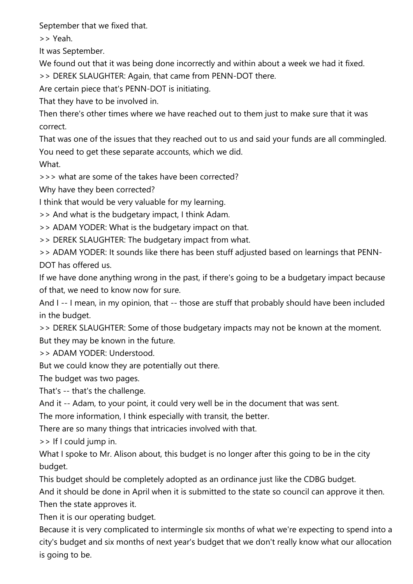September that we fixed that.

>> Yeah.

It was September.

We found out that it was being done incorrectly and within about a week we had it fixed.

>> DEREK SLAUGHTER: Again, that came from PENN-DOT there.

Are certain piece that's PENN-DOT is initiating.

That they have to be involved in.

Then there's other times where we have reached out to them just to make sure that it was correct.

That was one of the issues that they reached out to us and said your funds are all commingled. You need to get these separate accounts, which we did.

What.

>>> what are some of the takes have been corrected?

Why have they been corrected?

I think that would be very valuable for my learning.

>> And what is the budgetary impact, I think Adam.

>> ADAM YODER: What is the budgetary impact on that.

>> DEREK SLAUGHTER: The budgetary impact from what.

>> ADAM YODER: It sounds like there has been stuff adjusted based on learnings that PENN-DOT has offered us.

If we have done anything wrong in the past, if there's going to be a budgetary impact because of that, we need to know now for sure.

And I -- I mean, in my opinion, that -- those are stuff that probably should have been included in the budget.

>> DEREK SLAUGHTER: Some of those budgetary impacts may not be known at the moment. But they may be known in the future.

>> ADAM YODER: Understood.

But we could know they are potentially out there.

The budget was two pages.

That's -- that's the challenge.

And it -- Adam, to your point, it could very well be in the document that was sent.

The more information, I think especially with transit, the better.

There are so many things that intricacies involved with that.

>> If I could jump in.

What I spoke to Mr. Alison about, this budget is no longer after this going to be in the city budget.

This budget should be completely adopted as an ordinance just like the CDBG budget.

And it should be done in April when it is submitted to the state so council can approve it then. Then the state approves it.

Then it is our operating budget.

Because it is very complicated to intermingle six months of what we're expecting to spend into a city's budget and six months of next year's budget that we don't really know what our allocation is going to be.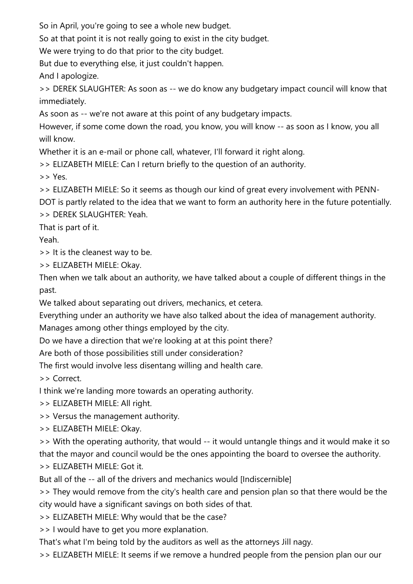So in April, you're going to see a whole new budget.

So at that point it is not really going to exist in the city budget.

We were trying to do that prior to the city budget.

But due to everything else, it just couldn't happen.

And I apologize.

>> DEREK SLAUGHTER: As soon as -- we do know any budgetary impact council will know that immediately.

As soon as -- we're not aware at this point of any budgetary impacts.

However, if some come down the road, you know, you will know -- as soon as I know, you all will know.

Whether it is an e-mail or phone call, whatever, I'll forward it right along.

>> ELIZABETH MIELE: Can I return briefly to the question of an authority.

>> Yes.

>> ELIZABETH MIELE: So it seems as though our kind of great every involvement with PENN-

DOT is partly related to the idea that we want to form an authority here in the future potentially. >> DEREK SLAUGHTER: Yeah.

That is part of it.

Yeah.

>> It is the cleanest way to be.

>> ELIZABETH MIELE: Okay.

Then when we talk about an authority, we have talked about a couple of different things in the past.

We talked about separating out drivers, mechanics, et cetera.

Everything under an authority we have also talked about the idea of management authority.

Manages among other things employed by the city.

Do we have a direction that we're looking at at this point there?

Are both of those possibilities still under consideration?

The first would involve less disentang willing and health care.

>> Correct.

I think we're landing more towards an operating authority.

>> ELIZABETH MIELE: All right.

>> Versus the management authority.

>> ELIZABETH MIELE: Okay.

>> With the operating authority, that would -- it would untangle things and it would make it so that the mayor and council would be the ones appointing the board to oversee the authority. >> ELIZABETH MIELE: Got it.

But all of the -- all of the drivers and mechanics would [Indiscernible]

>> They would remove from the city's health care and pension plan so that there would be the city would have a significant savings on both sides of that.

>> ELIZABETH MIELE: Why would that be the case?

>> I would have to get you more explanation.

That's what I'm being told by the auditors as well as the attorneys Jill nagy.

>> ELIZABETH MIELE: It seems if we remove a hundred people from the pension plan our our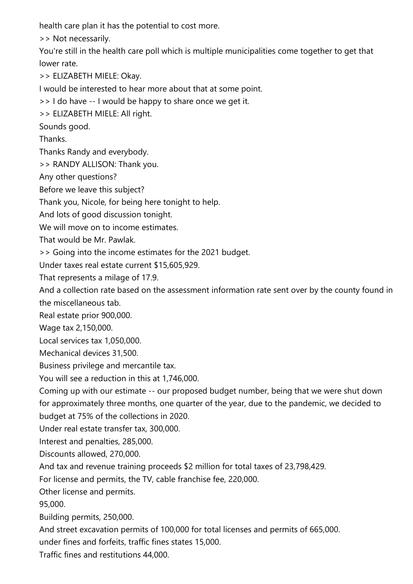health care plan it has the potential to cost more.

>> Not necessarily.

You're still in the health care poll which is multiple municipalities come together to get that lower rate.

>> ELIZABETH MIELE: Okay.

I would be interested to hear more about that at some point.

>> I do have -- I would be happy to share once we get it.

>> ELIZABETH MIELE: All right.

Sounds good.

Thanks.

Thanks Randy and everybody.

>> RANDY ALLISON: Thank you.

Any other questions?

Before we leave this subject?

Thank you, Nicole, for being here tonight to help.

And lots of good discussion tonight.

We will move on to income estimates.

That would be Mr. Pawlak.

>> Going into the income estimates for the 2021 budget.

Under taxes real estate current \$15,605,929.

That represents a milage of 17.9.

And a collection rate based on the assessment information rate sent over by the county found in the miscellaneous tab.

Real estate prior 900,000.

Wage tax 2,150,000.

Local services tax 1,050,000.

Mechanical devices 31,500.

Business privilege and mercantile tax.

You will see a reduction in this at 1,746,000.

Coming up with our estimate -- our proposed budget number, being that we were shut down for approximately three months, one quarter of the year, due to the pandemic, we decided to budget at 75% of the collections in 2020.

Under real estate transfer tax, 300,000.

Interest and penalties, 285,000.

Discounts allowed, 270,000.

And tax and revenue training proceeds \$2 million for total taxes of 23,798,429.

For license and permits, the TV, cable franchise fee, 220,000.

Other license and permits.

95,000.

Building permits, 250,000.

And street excavation permits of 100,000 for total licenses and permits of 665,000.

under fines and forfeits, traffic fines states 15,000.

Traffic fines and restitutions 44,000.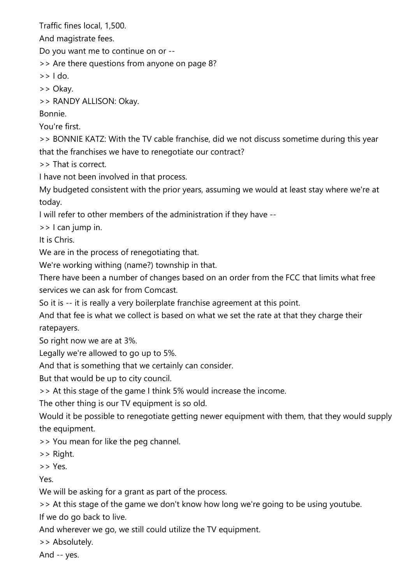Traffic fines local, 1,500.

And magistrate fees.

Do you want me to continue on or --

>> Are there questions from anyone on page 8?

 $\gt$   $\gt$   $\vdash$  do.

>> Okay.

>> RANDY ALLISON: Okay.

Bonnie.

You're first.

>> BONNIE KATZ: With the TV cable franchise, did we not discuss sometime during this year that the franchises we have to renegotiate our contract?

>> That is correct.

I have not been involved in that process.

My budgeted consistent with the prior years, assuming we would at least stay where we're at today.

I will refer to other members of the administration if they have --

>> I can jump in.

It is Chris.

We are in the process of renegotiating that.

We're working withing (name?) township in that.

There have been a number of changes based on an order from the FCC that limits what free services we can ask for from Comcast.

So it is -- it is really a very boilerplate franchise agreement at this point.

And that fee is what we collect is based on what we set the rate at that they charge their ratepayers.

So right now we are at 3%.

Legally we're allowed to go up to 5%.

And that is something that we certainly can consider.

But that would be up to city council.

>> At this stage of the game I think 5% would increase the income.

The other thing is our TV equipment is so old.

Would it be possible to renegotiate getting newer equipment with them, that they would supply the equipment.

>> You mean for like the peg channel.

>> Right.

>> Yes.

Yes.

We will be asking for a grant as part of the process.

>> At this stage of the game we don't know how long we're going to be using youtube.

If we do go back to live.

And wherever we go, we still could utilize the TV equipment.

>> Absolutely.

And -- yes.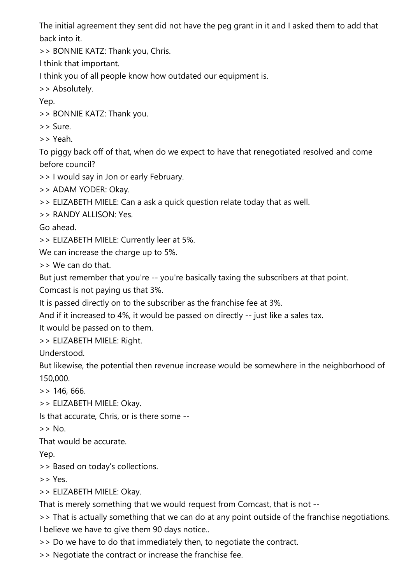The initial agreement they sent did not have the peg grant in it and I asked them to add that back into it.

>> BONNIE KATZ: Thank you, Chris.

I think that important.

I think you of all people know how outdated our equipment is.

>> Absolutely.

Yep.

>> BONNIE KATZ: Thank you.

>> Sure.

>> Yeah.

To piggy back off of that, when do we expect to have that renegotiated resolved and come before council?

>> I would say in Jon or early February.

>> ADAM YODER: Okay.

>> ELIZABETH MIELE: Can a ask a quick question relate today that as well.

>> RANDY ALLISON: Yes.

Go ahead.

>> ELIZABETH MIELE: Currently leer at 5%.

We can increase the charge up to 5%.

>> We can do that.

But just remember that you're -- you're basically taxing the subscribers at that point.

Comcast is not paying us that 3%.

It is passed directly on to the subscriber as the franchise fee at 3%.

And if it increased to 4%, it would be passed on directly -- just like a sales tax.

It would be passed on to them.

>> ELIZABETH MIELE: Right.

Understood.

But likewise, the potential then revenue increase would be somewhere in the neighborhood of 150,000.

>> 146, 666.

>> ELIZABETH MIELE: Okay.

Is that accurate, Chris, or is there some --

 $>>$  No.

That would be accurate.

Yep.

>> Based on today's collections.

>> Yes.

>> ELIZABETH MIELE: Okay.

That is merely something that we would request from Comcast, that is not --

>> That is actually something that we can do at any point outside of the franchise negotiations. I believe we have to give them 90 days notice..

>> Do we have to do that immediately then, to negotiate the contract.

>> Negotiate the contract or increase the franchise fee.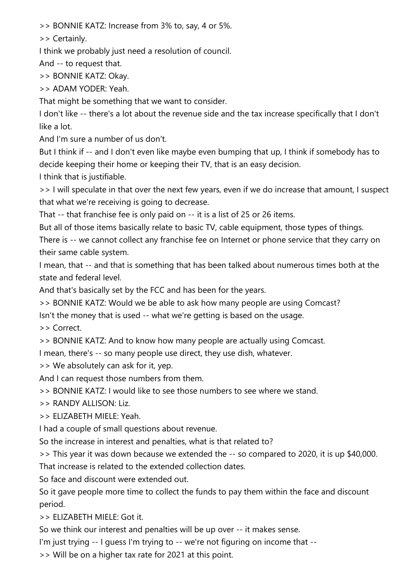>> BONNIE KATZ: Increase from 3% to, say, 4 or 5%.

>> Certainly.

I think we probably just need a resolution of council.

And -- to request that.

>> BONNIE KATZ: Okay.

>> ADAM YODER: Yeah.

That might be something that we want to consider.

I don't like -- there's a lot about the revenue side and the tax increase specifically that I don't like a lot.

And I'm sure a number of us don't.

But I think if -- and I don't even like maybe even bumping that up, I think if somebody has to decide keeping their home or keeping their TV, that is an easy decision.

I think that is justifiable.

>> I will speculate in that over the next few years, even if we do increase that amount, I suspect that what we're receiving is going to decrease.

That -- that franchise fee is only paid on -- it is a list of 25 or 26 items.

But all of those items basically relate to basic TV, cable equipment, those types of things.

There is -- we cannot collect any franchise fee on Internet or phone service that they carry on their same cable system.

I mean, that -- and that is something that has been talked about numerous times both at the state and federal level.

And that's basically set by the FCC and has been for the years.

>> BONNIE KATZ: Would we be able to ask how many people are using Comcast?

Isn't the money that is used -- what we're getting is based on the usage.

>> Correct.

>> BONNIE KATZ: And to know how many people are actually using Comcast.

I mean, there's -- so many people use direct, they use dish, whatever.

>> We absolutely can ask for it, yep.

And I can request those numbers from them.

>> BONNIE KATZ: I would like to see those numbers to see where we stand.

>> RANDY ALLISON: Liz.

>> ELIZABETH MIELE: Yeah.

I had a couple of small questions about revenue.

So the increase in interest and penalties, what is that related to?

>> This year it was down because we extended the -- so compared to 2020, it is up \$40,000.

That increase is related to the extended collection dates.

So face and discount were extended out.

So it gave people more time to collect the funds to pay them within the face and discount period.

>> ELIZABETH MIELE: Got it.

So we think our interest and penalties will be up over -- it makes sense.

I'm just trying -- I guess I'm trying to -- we're not figuring on income that --

>> Will be on a higher tax rate for 2021 at this point.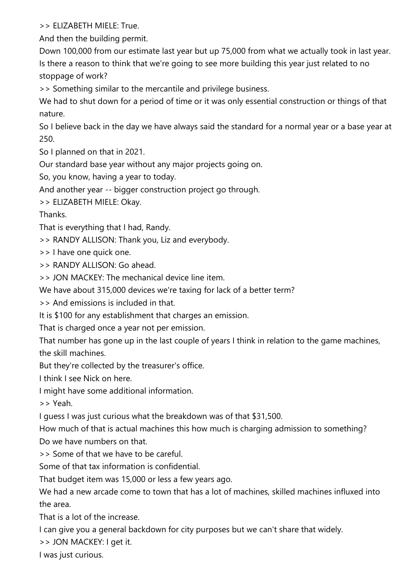>> ELIZABETH MIELE: True.

And then the building permit.

Down 100,000 from our estimate last year but up 75,000 from what we actually took in last year. Is there a reason to think that we're going to see more building this year just related to no stoppage of work?

>> Something similar to the mercantile and privilege business.

We had to shut down for a period of time or it was only essential construction or things of that nature.

So I believe back in the day we have always said the standard for a normal year or a base year at 250.

So I planned on that in 2021.

Our standard base year without any major projects going on.

So, you know, having a year to today.

And another year -- bigger construction project go through.

>> ELIZABETH MIELE: Okay.

Thanks.

That is everything that I had, Randy.

>> RANDY ALLISON: Thank you, Liz and everybody.

>> I have one quick one.

>> RANDY ALLISON: Go ahead.

>> JON MACKEY: The mechanical device line item.

We have about 315,000 devices we're taxing for lack of a better term?

>> And emissions is included in that.

It is \$100 for any establishment that charges an emission.

That is charged once a year not per emission.

That number has gone up in the last couple of years I think in relation to the game machines, the skill machines.

But they're collected by the treasurer's office.

I think I see Nick on here.

I might have some additional information.

>> Yeah.

I guess I was just curious what the breakdown was of that \$31,500.

How much of that is actual machines this how much is charging admission to something? Do we have numbers on that.

>> Some of that we have to be careful.

Some of that tax information is confidential.

That budget item was 15,000 or less a few years ago.

We had a new arcade come to town that has a lot of machines, skilled machines influxed into the area.

That is a lot of the increase.

I can give you a general backdown for city purposes but we can't share that widely.

>> JON MACKEY: I get it.

I was just curious.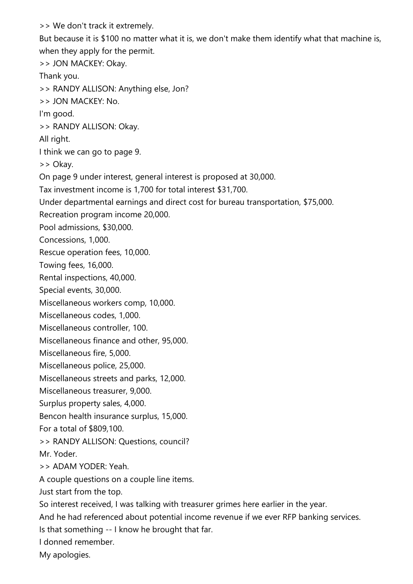>> We don't track it extremely. But because it is \$100 no matter what it is, we don't make them identify what that machine is, when they apply for the permit. >> JON MACKEY: Okay. Thank you. >> RANDY ALLISON: Anything else, Jon? >> JON MACKEY: No. I'm good. >> RANDY ALLISON: Okay. All right. I think we can go to page 9. >> Okay. On page 9 under interest, general interest is proposed at 30,000. Tax investment income is 1,700 for total interest \$31,700. Under departmental earnings and direct cost for bureau transportation, \$75,000. Recreation program income 20,000. Pool admissions, \$30,000. Concessions, 1,000. Rescue operation fees, 10,000. Towing fees, 16,000. Rental inspections, 40,000. Special events, 30,000. Miscellaneous workers comp, 10,000. Miscellaneous codes, 1,000. Miscellaneous controller, 100. Miscellaneous finance and other, 95,000. Miscellaneous fire, 5,000. Miscellaneous police, 25,000. Miscellaneous streets and parks, 12,000. Miscellaneous treasurer, 9,000. Surplus property sales, 4,000. Bencon health insurance surplus, 15,000. For a total of \$809,100. >> RANDY ALLISON: Questions, council? Mr. Yoder. >> ADAM YODER: Yeah. A couple questions on a couple line items. Just start from the top. So interest received, I was talking with treasurer grimes here earlier in the year. And he had referenced about potential income revenue if we ever RFP banking services. Is that something -- I know he brought that far. I donned remember. My apologies.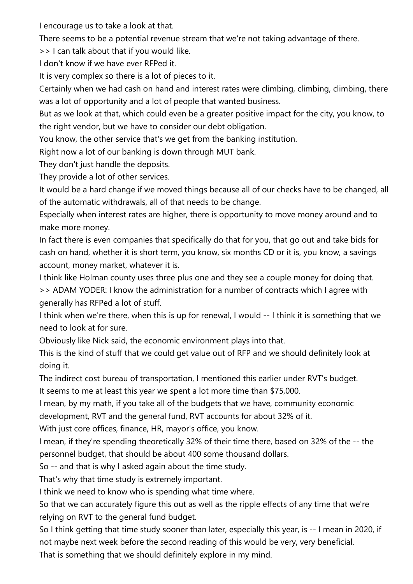I encourage us to take a look at that.

There seems to be a potential revenue stream that we're not taking advantage of there.

>> I can talk about that if you would like.

I don't know if we have ever RFPed it.

It is very complex so there is a lot of pieces to it.

Certainly when we had cash on hand and interest rates were climbing, climbing, climbing, there was a lot of opportunity and a lot of people that wanted business.

But as we look at that, which could even be a greater positive impact for the city, you know, to the right vendor, but we have to consider our debt obligation.

You know, the other service that's we get from the banking institution.

Right now a lot of our banking is down through MUT bank.

They don't just handle the deposits.

They provide a lot of other services.

It would be a hard change if we moved things because all of our checks have to be changed, all of the automatic withdrawals, all of that needs to be change.

Especially when interest rates are higher, there is opportunity to move money around and to make more money.

In fact there is even companies that specifically do that for you, that go out and take bids for cash on hand, whether it is short term, you know, six months CD or it is, you know, a savings account, money market, whatever it is.

I think like Holman county uses three plus one and they see a couple money for doing that.

>> ADAM YODER: I know the administration for a number of contracts which I agree with generally has RFPed a lot of stuff.

I think when we're there, when this is up for renewal, I would -- I think it is something that we need to look at for sure.

Obviously like Nick said, the economic environment plays into that.

This is the kind of stuff that we could get value out of RFP and we should definitely look at doing it.

The indirect cost bureau of transportation, I mentioned this earlier under RVT's budget.

It seems to me at least this year we spent a lot more time than \$75,000.

I mean, by my math, if you take all of the budgets that we have, community economic

development, RVT and the general fund, RVT accounts for about 32% of it.

With just core offices, finance, HR, mayor's office, you know.

I mean, if they're spending theoretically 32% of their time there, based on 32% of the -- the personnel budget, that should be about 400 some thousand dollars.

So -- and that is why I asked again about the time study.

That's why that time study is extremely important.

I think we need to know who is spending what time where.

So that we can accurately figure this out as well as the ripple effects of any time that we're relying on RVT to the general fund budget.

So I think getting that time study sooner than later, especially this year, is -- I mean in 2020, if not maybe next week before the second reading of this would be very, very beneficial.

That is something that we should definitely explore in my mind.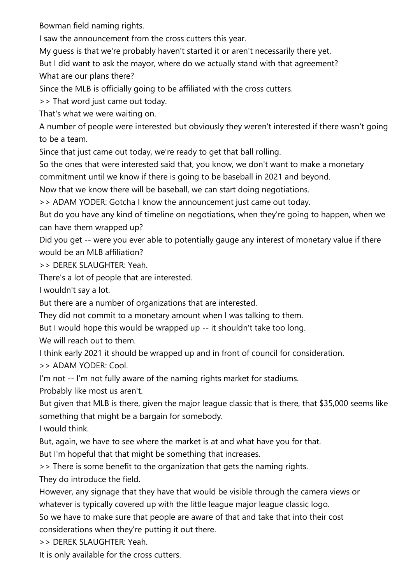Bowman field naming rights.

I saw the announcement from the cross cutters this year.

My guess is that we're probably haven't started it or aren't necessarily there yet.

But I did want to ask the mayor, where do we actually stand with that agreement?

What are our plans there?

Since the MLB is officially going to be affiliated with the cross cutters.

>> That word just came out today.

That's what we were waiting on.

A number of people were interested but obviously they weren't interested if there wasn't going to be a team.

Since that just came out today, we're ready to get that ball rolling.

So the ones that were interested said that, you know, we don't want to make a monetary commitment until we know if there is going to be baseball in 2021 and beyond.

Now that we know there will be baseball, we can start doing negotiations.

>> ADAM YODER: Gotcha I know the announcement just came out today.

But do you have any kind of timeline on negotiations, when they're going to happen, when we can have them wrapped up?

Did you get -- were you ever able to potentially gauge any interest of monetary value if there would be an MLB affiliation?

>> DEREK SLAUGHTER: Yeah.

There's a lot of people that are interested.

I wouldn't say a lot.

But there are a number of organizations that are interested.

They did not commit to a monetary amount when I was talking to them.

But I would hope this would be wrapped up -- it shouldn't take too long.

We will reach out to them.

I think early 2021 it should be wrapped up and in front of council for consideration.

>> ADAM YODER: Cool.

I'm not -- I'm not fully aware of the naming rights market for stadiums.

Probably like most us aren't.

But given that MLB is there, given the major league classic that is there, that \$35,000 seems like something that might be a bargain for somebody.

I would think.

But, again, we have to see where the market is at and what have you for that.

But I'm hopeful that that might be something that increases.

>> There is some benefit to the organization that gets the naming rights.

They do introduce the field.

However, any signage that they have that would be visible through the camera views or whatever is typically covered up with the little league major league classic logo.

So we have to make sure that people are aware of that and take that into their cost considerations when they're putting it out there.

>> DEREK SLAUGHTER: Yeah.

It is only available for the cross cutters.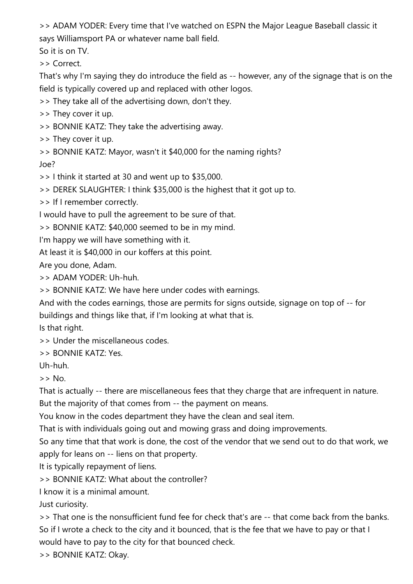>> ADAM YODER: Every time that I've watched on ESPN the Major League Baseball classic it says Williamsport PA or whatever name ball field.

So it is on TV.

>> Correct.

That's why I'm saying they do introduce the field as -- however, any of the signage that is on the field is typically covered up and replaced with other logos.

>> They take all of the advertising down, don't they.

>> They cover it up.

>> BONNIE KATZ: They take the advertising away.

>> They cover it up.

>> BONNIE KATZ: Mayor, wasn't it \$40,000 for the naming rights?

Joe?

>> I think it started at 30 and went up to \$35,000.

>> DEREK SLAUGHTER: I think \$35,000 is the highest that it got up to.

>> If I remember correctly.

I would have to pull the agreement to be sure of that.

>> BONNIE KATZ: \$40,000 seemed to be in my mind.

I'm happy we will have something with it.

At least it is \$40,000 in our koffers at this point.

Are you done, Adam.

>> ADAM YODER: Uh-huh.

>> BONNIE KATZ: We have here under codes with earnings.

And with the codes earnings, those are permits for signs outside, signage on top of -- for buildings and things like that, if I'm looking at what that is.

Is that right.

>> Under the miscellaneous codes.

>> BONNIE KATZ: Yes.

Uh-huh.

 $>>$  No.

That is actually -- there are miscellaneous fees that they charge that are infrequent in nature.

But the majority of that comes from -- the payment on means.

You know in the codes department they have the clean and seal item.

That is with individuals going out and mowing grass and doing improvements.

So any time that that work is done, the cost of the vendor that we send out to do that work, we apply for leans on -- liens on that property.

It is typically repayment of liens.

>> BONNIE KATZ: What about the controller?

I know it is a minimal amount.

Just curiosity.

>> That one is the nonsufficient fund fee for check that's are -- that come back from the banks. So if I wrote a check to the city and it bounced, that is the fee that we have to pay or that I would have to pay to the city for that bounced check.

>> BONNIE KATZ: Okay.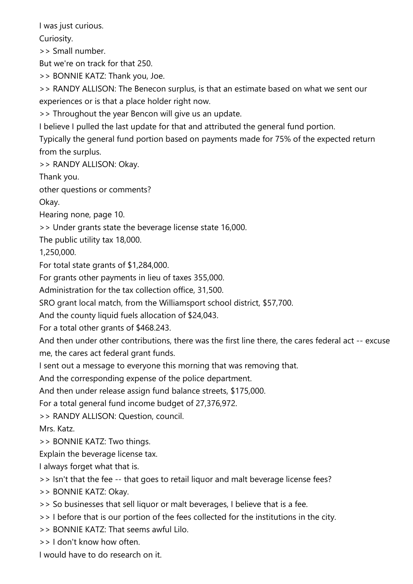I was just curious.

Curiosity.

>> Small number.

But we're on track for that 250.

>> BONNIE KATZ: Thank you, Joe.

>> RANDY ALLISON: The Benecon surplus, is that an estimate based on what we sent our experiences or is that a place holder right now.

>> Throughout the year Bencon will give us an update.

I believe I pulled the last update for that and attributed the general fund portion.

Typically the general fund portion based on payments made for 75% of the expected return from the surplus.

>> RANDY ALLISON: Okay.

Thank you.

other questions or comments?

Okay.

Hearing none, page 10.

>> Under grants state the beverage license state 16,000.

The public utility tax 18,000.

1,250,000.

For total state grants of \$1,284,000.

For grants other payments in lieu of taxes 355,000.

Administration for the tax collection office, 31,500.

SRO grant local match, from the Williamsport school district, \$57,700.

And the county liquid fuels allocation of \$24,043.

For a total other grants of \$468.243.

And then under other contributions, there was the first line there, the cares federal act -- excuse me, the cares act federal grant funds.

I sent out a message to everyone this morning that was removing that.

And the corresponding expense of the police department.

And then under release assign fund balance streets, \$175,000.

For a total general fund income budget of 27,376,972.

>> RANDY ALLISON: Question, council.

Mrs. Katz.

>> BONNIE KATZ: Two things.

Explain the beverage license tax.

I always forget what that is.

>> Isn't that the fee -- that goes to retail liquor and malt beverage license fees?

>> BONNIE KATZ: Okay.

>> So businesses that sell liquor or malt beverages, I believe that is a fee.

>> I before that is our portion of the fees collected for the institutions in the city.

- >> BONNIE KATZ: That seems awful Lilo.
- >> I don't know how often.

I would have to do research on it.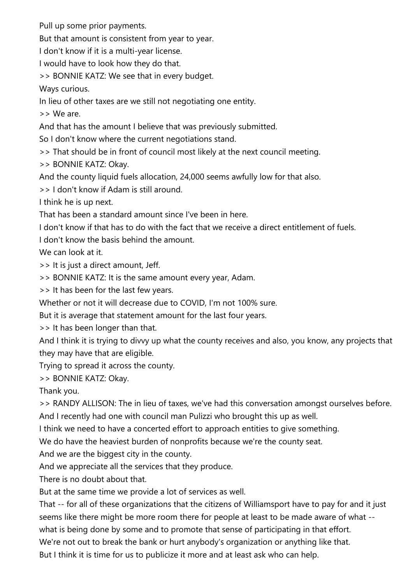Pull up some prior payments.

But that amount is consistent from year to year.

I don't know if it is a multi-year license.

I would have to look how they do that.

>> BONNIE KATZ: We see that in every budget.

Ways curious.

In lieu of other taxes are we still not negotiating one entity.

>> We are.

And that has the amount I believe that was previously submitted.

So I don't know where the current negotiations stand.

>> That should be in front of council most likely at the next council meeting.

>> BONNIE KATZ: Okay.

And the county liquid fuels allocation, 24,000 seems awfully low for that also.

>> I don't know if Adam is still around.

I think he is up next.

That has been a standard amount since I've been in here.

I don't know if that has to do with the fact that we receive a direct entitlement of fuels.

I don't know the basis behind the amount.

We can look at it.

>> It is just a direct amount, Jeff.

>> BONNIE KATZ: It is the same amount every year, Adam.

>> It has been for the last few years.

Whether or not it will decrease due to COVID, I'm not 100% sure.

But it is average that statement amount for the last four years.

>> It has been longer than that.

And I think it is trying to divvy up what the county receives and also, you know, any projects that they may have that are eligible.

Trying to spread it across the county.

>> BONNIE KATZ: Okay.

Thank you.

>> RANDY ALLISON: The in lieu of taxes, we've had this conversation amongst ourselves before. And I recently had one with council man Pulizzi who brought this up as well.

I think we need to have a concerted effort to approach entities to give something.

We do have the heaviest burden of nonprofits because we're the county seat.

And we are the biggest city in the county.

And we appreciate all the services that they produce.

There is no doubt about that.

But at the same time we provide a lot of services as well.

That -- for all of these organizations that the citizens of Williamsport have to pay for and it just seems like there might be more room there for people at least to be made aware of what --

what is being done by some and to promote that sense of participating in that effort.

We're not out to break the bank or hurt anybody's organization or anything like that.

But I think it is time for us to publicize it more and at least ask who can help.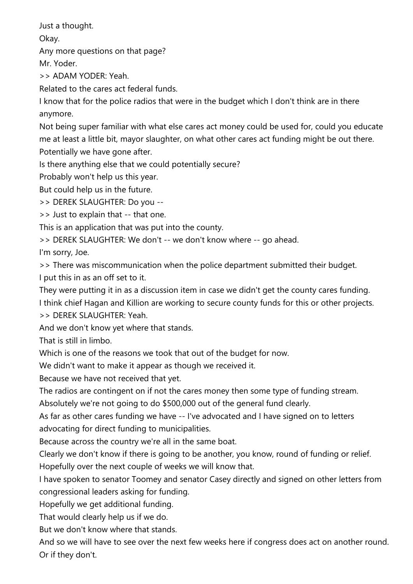Just a thought.

Okay.

Any more questions on that page?

Mr. Yoder.

>> ADAM YODER: Yeah.

Related to the cares act federal funds.

I know that for the police radios that were in the budget which I don't think are in there anymore.

Not being super familiar with what else cares act money could be used for, could you educate me at least a little bit, mayor slaughter, on what other cares act funding might be out there. Potentially we have gone after.

Is there anything else that we could potentially secure?

Probably won't help us this year.

But could help us in the future.

>> DEREK SLAUGHTER: Do you --

>> Just to explain that -- that one.

This is an application that was put into the county.

>> DEREK SLAUGHTER: We don't -- we don't know where -- go ahead.

I'm sorry, Joe.

>> There was miscommunication when the police department submitted their budget.

I put this in as an off set to it.

They were putting it in as a discussion item in case we didn't get the county cares funding. I think chief Hagan and Killion are working to secure county funds for this or other projects. >> DEREK SLAUGHTER: Yeah.

And we don't know yet where that stands.

That is still in limbo.

Which is one of the reasons we took that out of the budget for now.

We didn't want to make it appear as though we received it.

Because we have not received that yet.

The radios are contingent on if not the cares money then some type of funding stream.

Absolutely we're not going to do \$500,000 out of the general fund clearly.

As far as other cares funding we have -- I've advocated and I have signed on to letters advocating for direct funding to municipalities.

Because across the country we're all in the same boat.

Clearly we don't know if there is going to be another, you know, round of funding or relief.

Hopefully over the next couple of weeks we will know that.

I have spoken to senator Toomey and senator Casey directly and signed on other letters from congressional leaders asking for funding.

Hopefully we get additional funding.

That would clearly help us if we do.

But we don't know where that stands.

And so we will have to see over the next few weeks here if congress does act on another round. Or if they don't.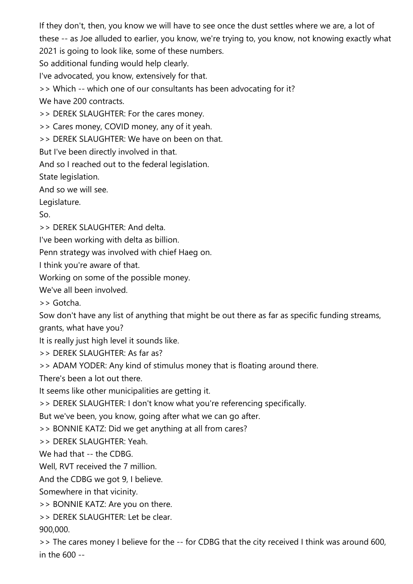If they don't, then, you know we will have to see once the dust settles where we are, a lot of these -- as Joe alluded to earlier, you know, we're trying to, you know, not knowing exactly what

2021 is going to look like, some of these numbers.

So additional funding would help clearly.

I've advocated, you know, extensively for that.

>> Which -- which one of our consultants has been advocating for it?

We have 200 contracts.

>> DEREK SLAUGHTER: For the cares money.

>> Cares money, COVID money, any of it yeah.

>> DEREK SLAUGHTER: We have on been on that.

But I've been directly involved in that.

And so I reached out to the federal legislation.

State legislation.

And so we will see.

Legislature.

So.

>> DEREK SLAUGHTER: And delta.

I've been working with delta as billion.

Penn strategy was involved with chief Haeg on.

I think you're aware of that.

Working on some of the possible money.

We've all been involved.

>> Gotcha.

Sow don't have any list of anything that might be out there as far as specific funding streams, grants, what have you?

It is really just high level it sounds like.

>> DEREK SLAUGHTER: As far as?

>> ADAM YODER: Any kind of stimulus money that is floating around there.

There's been a lot out there.

It seems like other municipalities are getting it.

>> DEREK SLAUGHTER: I don't know what you're referencing specifically.

But we've been, you know, going after what we can go after.

>> BONNIE KATZ: Did we get anything at all from cares?

>> DEREK SLAUGHTER: Yeah.

We had that -- the CDBG

Well, RVT received the 7 million.

And the CDBG we got 9, I believe.

Somewhere in that vicinity.

>> BONNIE KATZ: Are you on there.

>> DEREK SLAUGHTER: Let be clear. 900,000.

>> The cares money I believe for the -- for CDBG that the city received I think was around 600, in the 600 --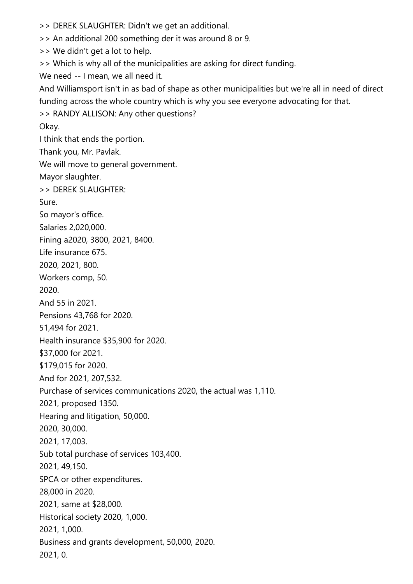>> DEREK SLAUGHTER: Didn't we get an additional.

>> An additional 200 something der it was around 8 or 9.

>> We didn't get a lot to help.

>> Which is why all of the municipalities are asking for direct funding.

We need -- I mean, we all need it.

And Williamsport isn't in as bad of shape as other municipalities but we're all in need of direct funding across the whole country which is why you see everyone advocating for that.

>> RANDY ALLISON: Any other questions?

Okay.

I think that ends the portion.

Thank you, Mr. Pavlak.

We will move to general government.

Mayor slaughter.

>> DEREK SLAUGHTER:

Sure.

So mayor's office.

Salaries 2,020,000.

Fining a2020, 3800, 2021, 8400.

Life insurance 675.

2020, 2021, 800.

Workers comp, 50.

2020.

And 55 in 2021.

Pensions 43,768 for 2020.

51,494 for 2021.

Health insurance \$35,900 for 2020.

\$37,000 for 2021.

\$179,015 for 2020.

And for 2021, 207,532.

Purchase of services communications 2020, the actual was 1,110.

2021, proposed 1350.

Hearing and litigation, 50,000.

2020, 30,000.

2021, 17,003.

Sub total purchase of services 103,400.

2021, 49,150.

SPCA or other expenditures.

28,000 in 2020.

2021, same at \$28,000.

Historical society 2020, 1,000.

2021, 1,000.

Business and grants development, 50,000, 2020.

2021, 0.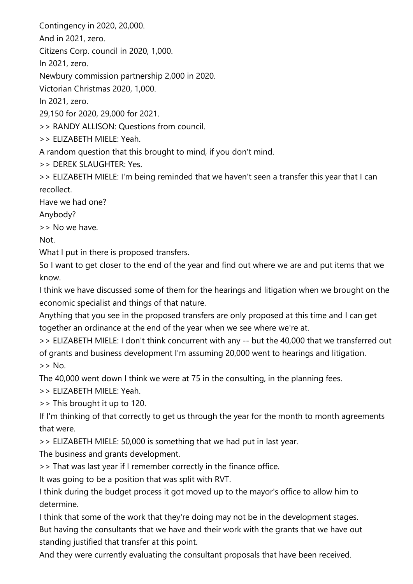Contingency in 2020, 20,000.

And in 2021, zero.

Citizens Corp. council in 2020, 1,000.

In 2021, zero.

Newbury commission partnership 2,000 in 2020.

Victorian Christmas 2020, 1,000.

In 2021, zero.

29,150 for 2020, 29,000 for 2021.

>> RANDY ALLISON: Questions from council.

>> ELIZABETH MIELE: Yeah.

A random question that this brought to mind, if you don't mind.

>> DEREK SLAUGHTER: Yes.

>> ELIZABETH MIELE: I'm being reminded that we haven't seen a transfer this year that I can recollect.

Have we had one?

Anybody?

>> No we have.

Not.

What I put in there is proposed transfers.

So I want to get closer to the end of the year and find out where we are and put items that we know.

I think we have discussed some of them for the hearings and litigation when we brought on the economic specialist and things of that nature.

Anything that you see in the proposed transfers are only proposed at this time and I can get together an ordinance at the end of the year when we see where we're at.

>> ELIZABETH MIELE: I don't think concurrent with any -- but the 40,000 that we transferred out of grants and business development I'm assuming 20,000 went to hearings and litigation. >> No.

The 40,000 went down I think we were at 75 in the consulting, in the planning fees.

>> ELIZABETH MIELE: Yeah.

>> This brought it up to 120.

If I'm thinking of that correctly to get us through the year for the month to month agreements that were.

>> ELIZABETH MIELE: 50,000 is something that we had put in last year.

The business and grants development.

>> That was last year if I remember correctly in the finance office.

It was going to be a position that was split with RVT.

I think during the budget process it got moved up to the mayor's office to allow him to determine.

I think that some of the work that they're doing may not be in the development stages. But having the consultants that we have and their work with the grants that we have out standing justified that transfer at this point.

And they were currently evaluating the consultant proposals that have been received.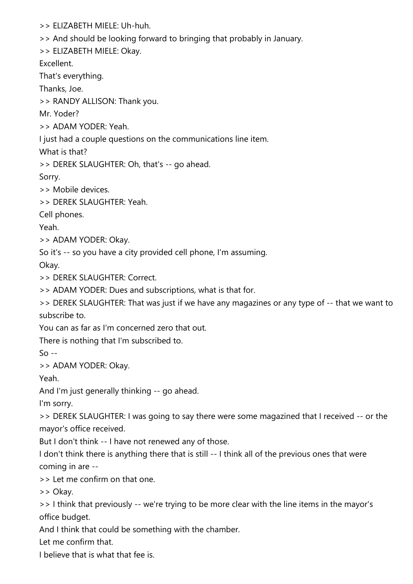>> ELIZABETH MIELE: Uh-huh.

>> And should be looking forward to bringing that probably in January.

>> ELIZABETH MIELE: Okay.

Excellent.

That's everything.

Thanks, Joe.

>> RANDY ALLISON: Thank you.

Mr. Yoder?

>> ADAM YODER: Yeah.

I just had a couple questions on the communications line item.

What is that?

>> DEREK SLAUGHTER: Oh, that's -- go ahead.

Sorry.

>> Mobile devices.

>> DEREK SLAUGHTER: Yeah.

Cell phones.

Yeah.

>> ADAM YODER: Okay.

So it's -- so you have a city provided cell phone, I'm assuming.

Okay.

>> DEREK SLAUGHTER: Correct.

>> ADAM YODER: Dues and subscriptions, what is that for.

>> DEREK SLAUGHTER: That was just if we have any magazines or any type of -- that we want to subscribe to.

You can as far as I'm concerned zero that out.

There is nothing that I'm subscribed to.

 $So -$ 

>> ADAM YODER: Okay.

Yeah.

And I'm just generally thinking -- go ahead.

I'm sorry.

>> DEREK SLAUGHTER: I was going to say there were some magazined that I received -- or the mayor's office received.

But I don't think -- I have not renewed any of those.

I don't think there is anything there that is still -- I think all of the previous ones that were coming in are --

>> Let me confirm on that one.

>> Okay.

>> I think that previously -- we're trying to be more clear with the line items in the mayor's office budget.

And I think that could be something with the chamber.

Let me confirm that.

I believe that is what that fee is.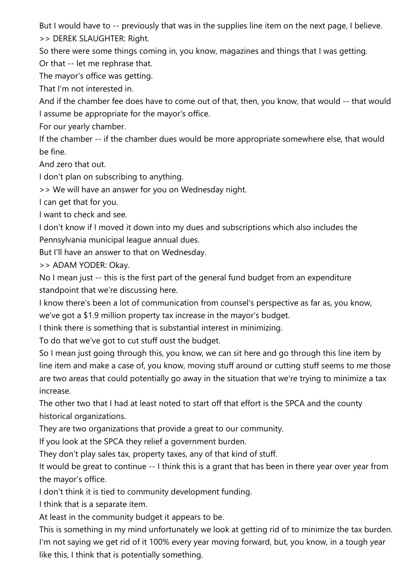But I would have to -- previously that was in the supplies line item on the next page, I believe. >> DEREK SLAUGHTER: Right.

So there were some things coming in, you know, magazines and things that I was getting. Or that -- let me rephrase that.

The mayor's office was getting.

That I'm not interested in.

And if the chamber fee does have to come out of that, then, you know, that would -- that would I assume be appropriate for the mayor's office.

For our yearly chamber.

If the chamber -- if the chamber dues would be more appropriate somewhere else, that would be fine.

And zero that out.

I don't plan on subscribing to anything.

>> We will have an answer for you on Wednesday night.

I can get that for you.

I want to check and see.

I don't know if I moved it down into my dues and subscriptions which also includes the Pennsylvania municipal league annual dues.

But I'll have an answer to that on Wednesday.

>> ADAM YODER: Okay.

No I mean just -- this is the first part of the general fund budget from an expenditure standpoint that we're discussing here.

I know there's been a lot of communication from counsel's perspective as far as, you know, we've got a \$1.9 million property tax increase in the mayor's budget.

I think there is something that is substantial interest in minimizing.

To do that we've got to cut stuff oust the budget.

So I mean just going through this, you know, we can sit here and go through this line item by line item and make a case of, you know, moving stuff around or cutting stuff seems to me those are two areas that could potentially go away in the situation that we're trying to minimize a tax increase.

The other two that I had at least noted to start off that effort is the SPCA and the county historical organizations.

They are two organizations that provide a great to our community.

If you look at the SPCA they relief a government burden.

They don't play sales tax, property taxes, any of that kind of stuff.

It would be great to continue -- I think this is a grant that has been in there year over year from the mayor's office.

I don't think it is tied to community development funding.

I think that is a separate item.

At least in the community budget it appears to be.

This is something in my mind unfortunately we look at getting rid of to minimize the tax burden. I'm not saying we get rid of it 100% every year moving forward, but, you know, in a tough year like this, I think that is potentially something.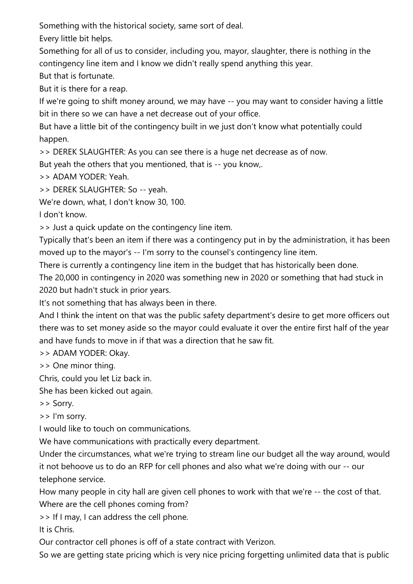Something with the historical society, same sort of deal.

Every little bit helps.

Something for all of us to consider, including you, mayor, slaughter, there is nothing in the contingency line item and I know we didn't really spend anything this year.

But that is fortunate.

But it is there for a reap.

If we're going to shift money around, we may have -- you may want to consider having a little bit in there so we can have a net decrease out of your office.

But have a little bit of the contingency built in we just don't know what potentially could happen.

>> DEREK SLAUGHTER: As you can see there is a huge net decrease as of now.

But yeah the others that you mentioned, that is -- you know,.

>> ADAM YODER: Yeah.

>> DEREK SLAUGHTER: So -- yeah.

We're down, what, I don't know 30, 100.

I don't know.

>> Just a quick update on the contingency line item.

Typically that's been an item if there was a contingency put in by the administration, it has been moved up to the mayor's -- I'm sorry to the counsel's contingency line item.

There is currently a contingency line item in the budget that has historically been done.

The 20,000 in contingency in 2020 was something new in 2020 or something that had stuck in 2020 but hadn't stuck in prior years.

It's not something that has always been in there.

And I think the intent on that was the public safety department's desire to get more officers out there was to set money aside so the mayor could evaluate it over the entire first half of the year and have funds to move in if that was a direction that he saw fit.

>> ADAM YODER: Okay.

>> One minor thing.

Chris, could you let Liz back in.

She has been kicked out again.

>> Sorry.

>> I'm sorry.

I would like to touch on communications.

We have communications with practically every department.

Under the circumstances, what we're trying to stream line our budget all the way around, would it not behoove us to do an RFP for cell phones and also what we're doing with our -- our telephone service.

How many people in city hall are given cell phones to work with that we're -- the cost of that. Where are the cell phones coming from?

>> If I may, I can address the cell phone.

It is Chris.

Our contractor cell phones is off of a state contract with Verizon.

So we are getting state pricing which is very nice pricing forgetting unlimited data that is public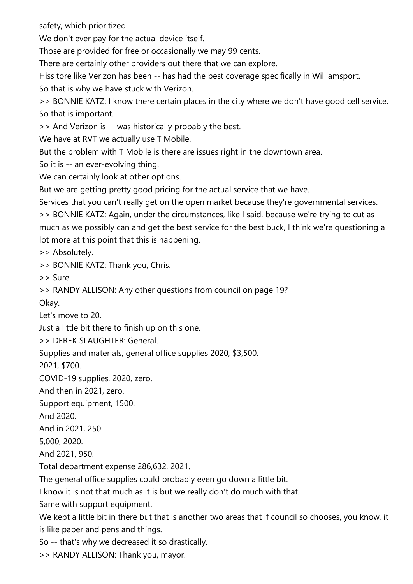safety, which prioritized.

We don't ever pay for the actual device itself.

Those are provided for free or occasionally we may 99 cents.

There are certainly other providers out there that we can explore.

Hiss tore like Verizon has been -- has had the best coverage specifically in Williamsport.

So that is why we have stuck with Verizon.

>> BONNIE KATZ: I know there certain places in the city where we don't have good cell service. So that is important.

>> And Verizon is -- was historically probably the best.

We have at RVT we actually use T Mobile.

But the problem with T Mobile is there are issues right in the downtown area.

So it is -- an ever-evolving thing.

We can certainly look at other options.

But we are getting pretty good pricing for the actual service that we have.

Services that you can't really get on the open market because they're governmental services.

>> BONNIE KATZ: Again, under the circumstances, like I said, because we're trying to cut as much as we possibly can and get the best service for the best buck, I think we're questioning a lot more at this point that this is happening.

>> Absolutely.

>> BONNIE KATZ: Thank you, Chris.

>> Sure.

>> RANDY ALLISON: Any other questions from council on page 19?

Okay.

Let's move to 20.

Just a little bit there to finish up on this one.

>> DEREK SLAUGHTER: General.

Supplies and materials, general office supplies 2020, \$3,500.

2021, \$700.

COVID-19 supplies, 2020, zero.

And then in 2021, zero.

Support equipment, 1500.

And 2020.

And in 2021, 250.

5,000, 2020.

And 2021, 950.

Total department expense 286,632, 2021.

The general office supplies could probably even go down a little bit.

I know it is not that much as it is but we really don't do much with that.

Same with support equipment.

We kept a little bit in there but that is another two areas that if council so chooses, you know, it is like paper and pens and things.

So -- that's why we decreased it so drastically.

>> RANDY ALLISON: Thank you, mayor.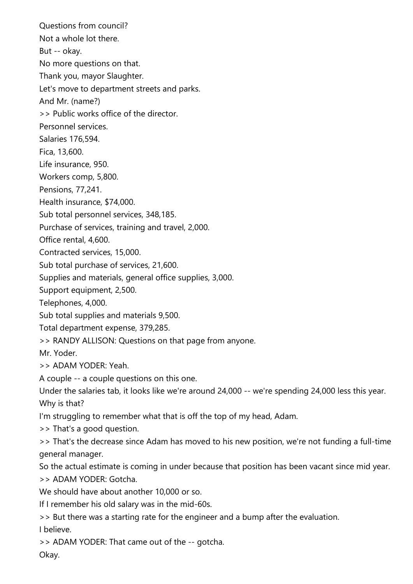Questions from council? Not a whole lot there. But -- okay. No more questions on that. Thank you, mayor Slaughter. Let's move to department streets and parks. And Mr. (name?) >> Public works office of the director. Personnel services. Salaries 176,594. Fica, 13,600. Life insurance, 950. Workers comp, 5,800. Pensions, 77,241. Health insurance, \$74,000. Sub total personnel services, 348,185. Purchase of services, training and travel, 2,000. Office rental, 4,600. Contracted services, 15,000. Sub total purchase of services, 21,600. Supplies and materials, general office supplies, 3,000. Support equipment, 2,500. Telephones, 4,000. Sub total supplies and materials 9,500. Total department expense, 379,285. >> RANDY ALLISON: Questions on that page from anyone. Mr. Yoder. >> ADAM YODER: Yeah. A couple -- a couple questions on this one. Under the salaries tab, it looks like we're around 24,000 -- we're spending 24,000 less this year. Why is that? I'm struggling to remember what that is off the top of my head, Adam. >> That's a good question. >> That's the decrease since Adam has moved to his new position, we're not funding a full-time general manager. So the actual estimate is coming in under because that position has been vacant since mid year. >> ADAM YODER: Gotcha. We should have about another 10,000 or so. If I remember his old salary was in the mid-60s. >> But there was a starting rate for the engineer and a bump after the evaluation. I believe. >> ADAM YODER: That came out of the -- gotcha.

Okay.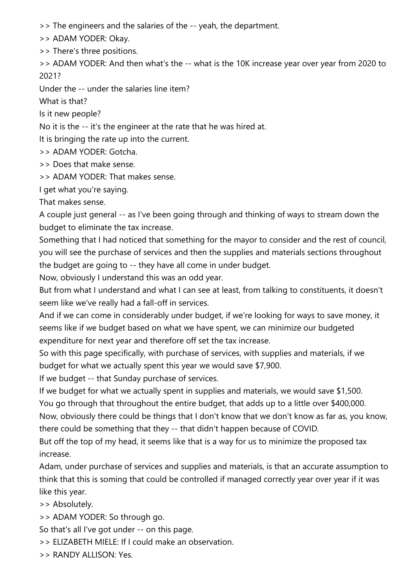>> The engineers and the salaries of the -- yeah, the department.

>> ADAM YODER: Okay.

>> There's three positions.

>> ADAM YODER: And then what's the -- what is the 10K increase year over year from 2020 to 2021?

Under the -- under the salaries line item?

What is that?

Is it new people?

No it is the -- it's the engineer at the rate that he was hired at.

It is bringing the rate up into the current.

>> ADAM YODER: Gotcha.

>> Does that make sense.

>> ADAM YODER: That makes sense.

I get what you're saying.

That makes sense.

A couple just general -- as I've been going through and thinking of ways to stream down the budget to eliminate the tax increase.

Something that I had noticed that something for the mayor to consider and the rest of council, you will see the purchase of services and then the supplies and materials sections throughout the budget are going to -- they have all come in under budget.

Now, obviously I understand this was an odd year.

But from what I understand and what I can see at least, from talking to constituents, it doesn't seem like we've really had a fall-off in services.

And if we can come in considerably under budget, if we're looking for ways to save money, it seems like if we budget based on what we have spent, we can minimize our budgeted expenditure for next year and therefore off set the tax increase.

So with this page specifically, with purchase of services, with supplies and materials, if we budget for what we actually spent this year we would save \$7,900.

If we budget -- that Sunday purchase of services.

If we budget for what we actually spent in supplies and materials, we would save \$1,500.

You go through that throughout the entire budget, that adds up to a little over \$400,000.

Now, obviously there could be things that I don't know that we don't know as far as, you know, there could be something that they -- that didn't happen because of COVID.

But off the top of my head, it seems like that is a way for us to minimize the proposed tax increase.

Adam, under purchase of services and supplies and materials, is that an accurate assumption to think that this is soming that could be controlled if managed correctly year over year if it was like this year.

>> Absolutely.

>> ADAM YODER: So through go.

So that's all I've got under -- on this page.

- >> ELIZABETH MIELE: If I could make an observation.
- >> RANDY ALLISON: Yes.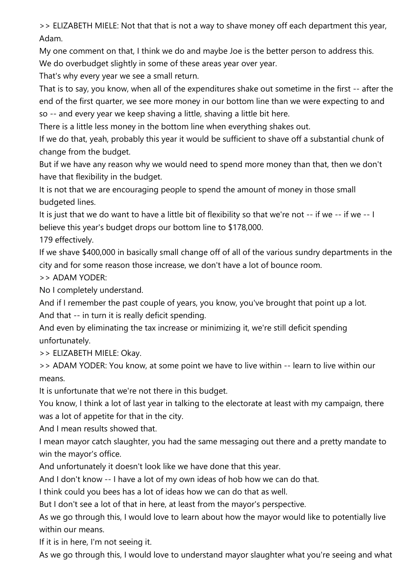>> ELIZABETH MIELE: Not that that is not a way to shave money off each department this year, Adam.

My one comment on that, I think we do and maybe Joe is the better person to address this. We do overbudget slightly in some of these areas year over year.

That's why every year we see a small return.

That is to say, you know, when all of the expenditures shake out sometime in the first -- after the end of the first quarter, we see more money in our bottom line than we were expecting to and so -- and every year we keep shaving a little, shaving a little bit here.

There is a little less money in the bottom line when everything shakes out.

If we do that, yeah, probably this year it would be sufficient to shave off a substantial chunk of change from the budget.

But if we have any reason why we would need to spend more money than that, then we don't have that flexibility in the budget.

It is not that we are encouraging people to spend the amount of money in those small budgeted lines.

It is just that we do want to have a little bit of flexibility so that we're not -- if we -- if we -- I believe this year's budget drops our bottom line to \$178,000.

179 effectively.

If we shave \$400,000 in basically small change off of all of the various sundry departments in the city and for some reason those increase, we don't have a lot of bounce room.

>> ADAM YODER:

No I completely understand.

And if I remember the past couple of years, you know, you've brought that point up a lot.

And that -- in turn it is really deficit spending.

And even by eliminating the tax increase or minimizing it, we're still deficit spending unfortunately.

>> ELIZABETH MIELE: Okay.

>> ADAM YODER: You know, at some point we have to live within -- learn to live within our means.

It is unfortunate that we're not there in this budget.

You know, I think a lot of last year in talking to the electorate at least with my campaign, there was a lot of appetite for that in the city.

And I mean results showed that.

I mean mayor catch slaughter, you had the same messaging out there and a pretty mandate to win the mayor's office.

And unfortunately it doesn't look like we have done that this year.

And I don't know -- I have a lot of my own ideas of hob how we can do that.

I think could you bees has a lot of ideas how we can do that as well.

But I don't see a lot of that in here, at least from the mayor's perspective.

As we go through this, I would love to learn about how the mayor would like to potentially live within our means.

If it is in here, I'm not seeing it.

As we go through this, I would love to understand mayor slaughter what you're seeing and what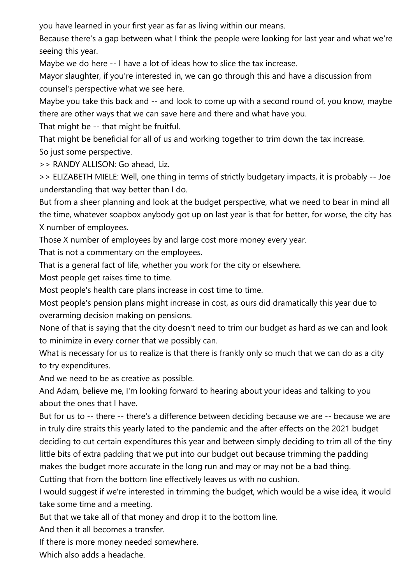you have learned in your first year as far as living within our means.

Because there's a gap between what I think the people were looking for last year and what we're seeing this year.

Maybe we do here -- I have a lot of ideas how to slice the tax increase.

Mayor slaughter, if you're interested in, we can go through this and have a discussion from counsel's perspective what we see here.

Maybe you take this back and -- and look to come up with a second round of, you know, maybe there are other ways that we can save here and there and what have you.

That might be -- that might be fruitful.

That might be beneficial for all of us and working together to trim down the tax increase. So just some perspective.

>> RANDY ALLISON: Go ahead, Liz.

>> ELIZABETH MIELE: Well, one thing in terms of strictly budgetary impacts, it is probably -- Joe understanding that way better than I do.

But from a sheer planning and look at the budget perspective, what we need to bear in mind all the time, whatever soapbox anybody got up on last year is that for better, for worse, the city has X number of employees.

Those X number of employees by and large cost more money every year.

That is not a commentary on the employees.

That is a general fact of life, whether you work for the city or elsewhere.

Most people get raises time to time.

Most people's health care plans increase in cost time to time.

Most people's pension plans might increase in cost, as ours did dramatically this year due to overarming decision making on pensions.

None of that is saying that the city doesn't need to trim our budget as hard as we can and look to minimize in every corner that we possibly can.

What is necessary for us to realize is that there is frankly only so much that we can do as a city to try expenditures.

And we need to be as creative as possible.

And Adam, believe me, I'm looking forward to hearing about your ideas and talking to you about the ones that I have.

But for us to -- there -- there's a difference between deciding because we are -- because we are in truly dire straits this yearly lated to the pandemic and the after effects on the 2021 budget deciding to cut certain expenditures this year and between simply deciding to trim all of the tiny little bits of extra padding that we put into our budget out because trimming the padding makes the budget more accurate in the long run and may or may not be a bad thing.

Cutting that from the bottom line effectively leaves us with no cushion.

I would suggest if we're interested in trimming the budget, which would be a wise idea, it would take some time and a meeting.

But that we take all of that money and drop it to the bottom line.

And then it all becomes a transfer.

If there is more money needed somewhere.

Which also adds a headache.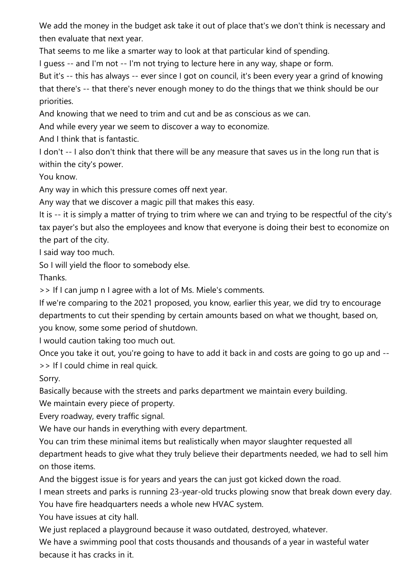We add the money in the budget ask take it out of place that's we don't think is necessary and then evaluate that next year.

That seems to me like a smarter way to look at that particular kind of spending.

I guess -- and I'm not -- I'm not trying to lecture here in any way, shape or form.

But it's -- this has always -- ever since I got on council, it's been every year a grind of knowing that there's -- that there's never enough money to do the things that we think should be our priorities.

And knowing that we need to trim and cut and be as conscious as we can.

And while every year we seem to discover a way to economize.

And I think that is fantastic.

I don't -- I also don't think that there will be any measure that saves us in the long run that is within the city's power.

You know.

Any way in which this pressure comes off next year.

Any way that we discover a magic pill that makes this easy.

It is -- it is simply a matter of trying to trim where we can and trying to be respectful of the city's tax payer's but also the employees and know that everyone is doing their best to economize on the part of the city.

I said way too much.

So I will yield the floor to somebody else.

Thanks.

>> If I can jump n I agree with a lot of Ms. Miele's comments.

If we're comparing to the 2021 proposed, you know, earlier this year, we did try to encourage departments to cut their spending by certain amounts based on what we thought, based on, you know, some some period of shutdown.

I would caution taking too much out.

Once you take it out, you're going to have to add it back in and costs are going to go up and -- >> If I could chime in real quick.

Sorry.

Basically because with the streets and parks department we maintain every building.

We maintain every piece of property.

Every roadway, every traffic signal.

We have our hands in everything with every department.

You can trim these minimal items but realistically when mayor slaughter requested all department heads to give what they truly believe their departments needed, we had to sell him on those items.

And the biggest issue is for years and years the can just got kicked down the road.

I mean streets and parks is running 23-year-old trucks plowing snow that break down every day. You have fire headquarters needs a whole new HVAC system.

You have issues at city hall.

We just replaced a playground because it waso outdated, destroyed, whatever.

We have a swimming pool that costs thousands and thousands of a year in wasteful water because it has cracks in it.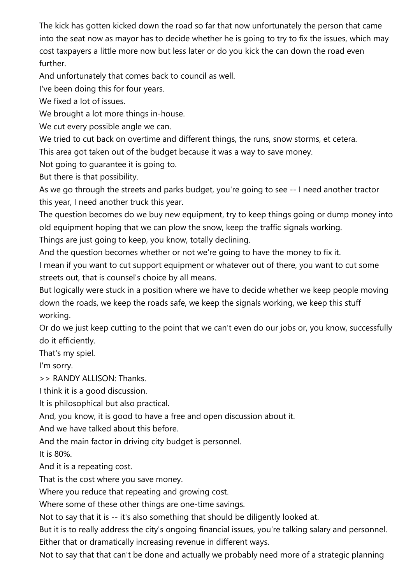The kick has gotten kicked down the road so far that now unfortunately the person that came into the seat now as mayor has to decide whether he is going to try to fix the issues, which may cost taxpayers a little more now but less later or do you kick the can down the road even further.

And unfortunately that comes back to council as well.

I've been doing this for four years.

We fixed a lot of issues.

We brought a lot more things in-house.

We cut every possible angle we can.

We tried to cut back on overtime and different things, the runs, snow storms, et cetera.

This area got taken out of the budget because it was a way to save money.

Not going to guarantee it is going to.

But there is that possibility.

As we go through the streets and parks budget, you're going to see -- I need another tractor this year, I need another truck this year.

The question becomes do we buy new equipment, try to keep things going or dump money into old equipment hoping that we can plow the snow, keep the traffic signals working.

Things are just going to keep, you know, totally declining.

And the question becomes whether or not we're going to have the money to fix it.

I mean if you want to cut support equipment or whatever out of there, you want to cut some streets out, that is counsel's choice by all means.

But logically were stuck in a position where we have to decide whether we keep people moving down the roads, we keep the roads safe, we keep the signals working, we keep this stuff working.

Or do we just keep cutting to the point that we can't even do our jobs or, you know, successfully do it efficiently.

That's my spiel.

I'm sorry.

>> RANDY ALLISON: Thanks.

I think it is a good discussion.

It is philosophical but also practical.

And, you know, it is good to have a free and open discussion about it.

And we have talked about this before.

And the main factor in driving city budget is personnel.

It is 80%.

And it is a repeating cost.

That is the cost where you save money.

Where you reduce that repeating and growing cost.

Where some of these other things are one-time savings.

Not to say that it is -- it's also something that should be diligently looked at.

But it is to really address the city's ongoing financial issues, you're talking salary and personnel. Either that or dramatically increasing revenue in different ways.

Not to say that that can't be done and actually we probably need more of a strategic planning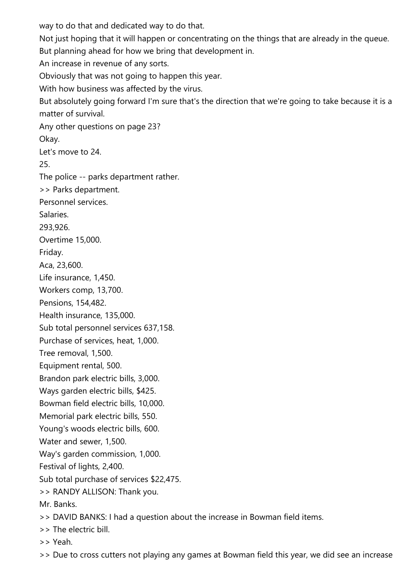way to do that and dedicated way to do that. Not just hoping that it will happen or concentrating on the things that are already in the queue. But planning ahead for how we bring that development in. An increase in revenue of any sorts. Obviously that was not going to happen this year. With how business was affected by the virus. But absolutely going forward I'm sure that's the direction that we're going to take because it is a matter of survival. Any other questions on page 23? Okay. Let's move to 24. 25. The police -- parks department rather. >> Parks department. Personnel services. Salaries. 293,926. Overtime 15,000. Friday. Aca, 23,600. Life insurance, 1,450. Workers comp, 13,700. Pensions, 154,482. Health insurance, 135,000. Sub total personnel services 637,158. Purchase of services, heat, 1,000. Tree removal, 1,500. Equipment rental, 500. Brandon park electric bills, 3,000. Ways garden electric bills, \$425. Bowman field electric bills, 10,000. Memorial park electric bills, 550. Young's woods electric bills, 600. Water and sewer, 1,500. Way's garden commission, 1,000. Festival of lights, 2,400. Sub total purchase of services \$22,475. >> RANDY ALLISON: Thank you. Mr. Banks. >> DAVID BANKS: I had a question about the increase in Bowman field items. >> The electric bill. >> Yeah.

>> Due to cross cutters not playing any games at Bowman field this year, we did see an increase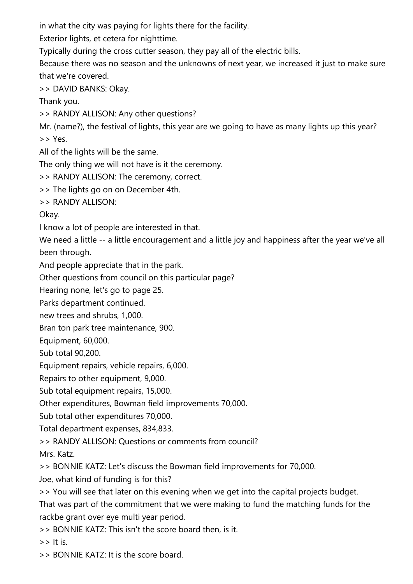in what the city was paying for lights there for the facility.

Exterior lights, et cetera for nighttime.

Typically during the cross cutter season, they pay all of the electric bills.

Because there was no season and the unknowns of next year, we increased it just to make sure that we're covered.

>> DAVID BANKS: Okay.

Thank you.

>> RANDY ALLISON: Any other questions?

Mr. (name?), the festival of lights, this year are we going to have as many lights up this year? >> Yes.

All of the lights will be the same.

The only thing we will not have is it the ceremony.

>> RANDY ALLISON: The ceremony, correct.

>> The lights go on on December 4th.

>> RANDY ALLISON:

Okay.

I know a lot of people are interested in that.

We need a little -- a little encouragement and a little joy and happiness after the year we've all been through.

And people appreciate that in the park.

Other questions from council on this particular page?

Hearing none, let's go to page 25.

Parks department continued.

new trees and shrubs, 1,000.

Bran ton park tree maintenance, 900.

Equipment, 60,000.

Sub total 90,200.

Equipment repairs, vehicle repairs, 6,000.

Repairs to other equipment, 9,000.

Sub total equipment repairs, 15,000.

Other expenditures, Bowman field improvements 70,000.

Sub total other expenditures 70,000.

Total department expenses, 834,833.

>> RANDY ALLISON: Questions or comments from council?

Mrs. Katz.

>> BONNIE KATZ: Let's discuss the Bowman field improvements for 70,000.

Joe, what kind of funding is for this?

>> You will see that later on this evening when we get into the capital projects budget.

That was part of the commitment that we were making to fund the matching funds for the rackbe grant over eye multi year period.

>> BONNIE KATZ: This isn't the score board then, is it.

 $\gt$  It is.

>> BONNIE KATZ: It is the score board.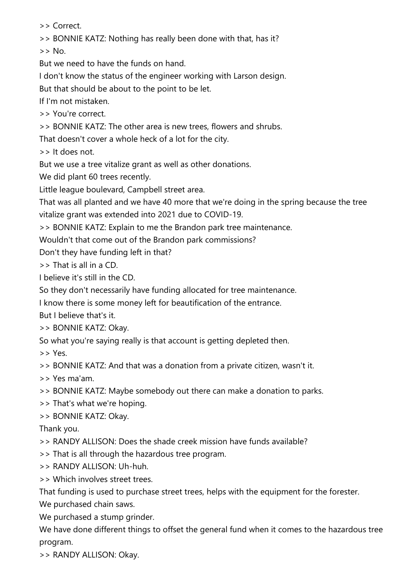>> Correct.

>> BONNIE KATZ: Nothing has really been done with that, has it?

 $>>$  No.

But we need to have the funds on hand.

I don't know the status of the engineer working with Larson design.

But that should be about to the point to be let.

If I'm not mistaken.

>> You're correct.

>> BONNIE KATZ: The other area is new trees, flowers and shrubs.

That doesn't cover a whole heck of a lot for the city.

>> It does not.

But we use a tree vitalize grant as well as other donations.

We did plant 60 trees recently.

Little league boulevard, Campbell street area.

That was all planted and we have 40 more that we're doing in the spring because the tree vitalize grant was extended into 2021 due to COVID-19.

>> BONNIE KATZ: Explain to me the Brandon park tree maintenance.

Wouldn't that come out of the Brandon park commissions?

Don't they have funding left in that?

>> That is all in a CD.

I believe it's still in the CD.

So they don't necessarily have funding allocated for tree maintenance.

I know there is some money left for beautification of the entrance.

But I believe that's it.

>> BONNIE KATZ: Okay.

So what you're saying really is that account is getting depleted then.

>> Yes.

>> BONNIE KATZ: And that was a donation from a private citizen, wasn't it.

>> Yes ma'am.

>> BONNIE KATZ: Maybe somebody out there can make a donation to parks.

>> That's what we're hoping.

>> BONNIE KATZ: Okay.

Thank you.

>> RANDY ALLISON: Does the shade creek mission have funds available?

>> That is all through the hazardous tree program.

>> RANDY ALLISON: Uh-huh.

>> Which involves street trees.

That funding is used to purchase street trees, helps with the equipment for the forester.

We purchased chain saws.

We purchased a stump grinder.

We have done different things to offset the general fund when it comes to the hazardous tree program.

>> RANDY ALLISON: Okay.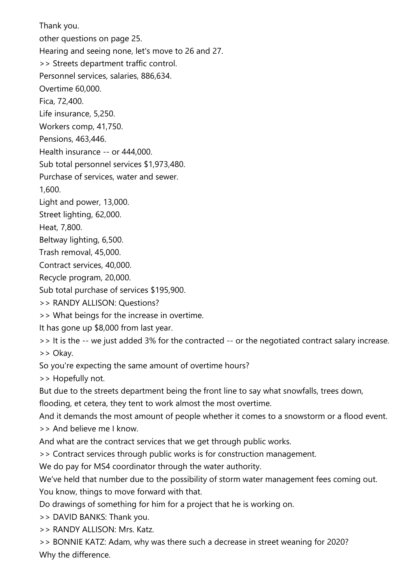Thank you. other questions on page 25. Hearing and seeing none, let's move to 26 and 27. >> Streets department traffic control. Personnel services, salaries, 886,634. Overtime 60,000. Fica, 72,400. Life insurance, 5,250. Workers comp, 41,750. Pensions, 463,446. Health insurance -- or 444,000. Sub total personnel services \$1,973,480. Purchase of services, water and sewer. 1,600. Light and power, 13,000. Street lighting, 62,000. Heat, 7,800. Beltway lighting, 6,500. Trash removal, 45,000. Contract services, 40,000. Recycle program, 20,000. Sub total purchase of services \$195,900. >> RANDY ALLISON: Questions? >> What beings for the increase in overtime. It has gone up \$8,000 from last year. >> It is the -- we just added 3% for the contracted -- or the negotiated contract salary increase. >> Okay. So you're expecting the same amount of overtime hours? >> Hopefully not. But due to the streets department being the front line to say what snowfalls, trees down, flooding, et cetera, they tent to work almost the most overtime. And it demands the most amount of people whether it comes to a snowstorm or a flood event. >> And believe me I know. And what are the contract services that we get through public works. >> Contract services through public works is for construction management. We do pay for MS4 coordinator through the water authority. We've held that number due to the possibility of storm water management fees coming out. You know, things to move forward with that. Do drawings of something for him for a project that he is working on. >> DAVID BANKS: Thank you. >> RANDY ALLISON: Mrs. Katz.

>> BONNIE KATZ: Adam, why was there such a decrease in street weaning for 2020? Why the difference.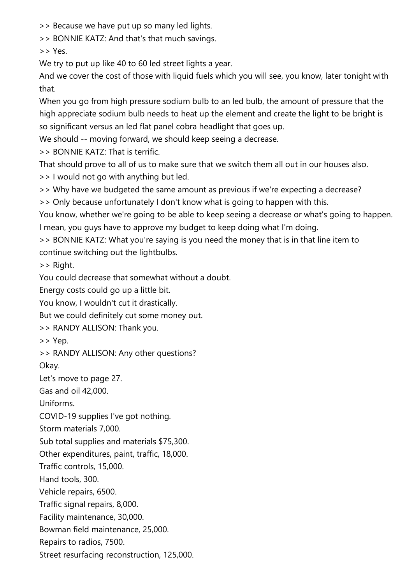>> Because we have put up so many led lights.

>> BONNIE KATZ: And that's that much savings.

>> Yes.

We try to put up like 40 to 60 led street lights a year.

And we cover the cost of those with liquid fuels which you will see, you know, later tonight with that.

When you go from high pressure sodium bulb to an led bulb, the amount of pressure that the high appreciate sodium bulb needs to heat up the element and create the light to be bright is so significant versus an led flat panel cobra headlight that goes up.

We should -- moving forward, we should keep seeing a decrease.

>> BONNIE KATZ: That is terrific.

That should prove to all of us to make sure that we switch them all out in our houses also.

>> I would not go with anything but led.

>> Why have we budgeted the same amount as previous if we're expecting a decrease?

>> Only because unfortunately I don't know what is going to happen with this.

You know, whether we're going to be able to keep seeing a decrease or what's going to happen. I mean, you guys have to approve my budget to keep doing what I'm doing.

>> BONNIE KATZ: What you're saying is you need the money that is in that line item to continue switching out the lightbulbs.

>> Right.

You could decrease that somewhat without a doubt.

Energy costs could go up a little bit.

You know, I wouldn't cut it drastically.

But we could definitely cut some money out.

>> RANDY ALLISON: Thank you.

>> Yep.

>> RANDY ALLISON: Any other questions?

Okay.

Let's move to page 27.

Gas and oil 42,000.

Uniforms.

COVID-19 supplies I've got nothing.

Storm materials 7,000.

Sub total supplies and materials \$75,300.

Other expenditures, paint, traffic, 18,000.

Traffic controls, 15,000.

Hand tools, 300.

Vehicle repairs, 6500.

Traffic signal repairs, 8,000.

Facility maintenance, 30,000.

Bowman field maintenance, 25,000.

Repairs to radios, 7500.

Street resurfacing reconstruction, 125,000.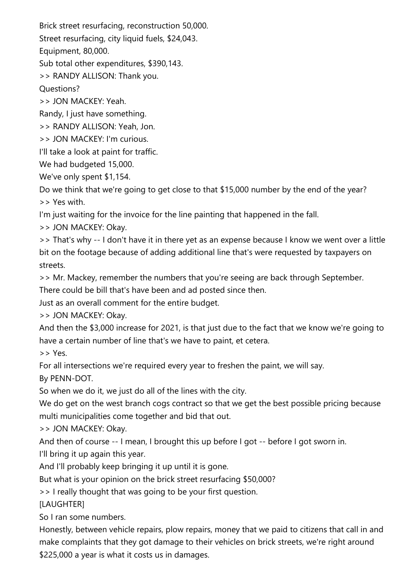Brick street resurfacing, reconstruction 50,000.

Street resurfacing, city liquid fuels, \$24,043.

Equipment, 80,000.

Sub total other expenditures, \$390,143.

>> RANDY ALLISON: Thank you.

Questions?

>> JON MACKEY: Yeah.

Randy, I just have something.

>> RANDY ALLISON: Yeah, Jon.

>> JON MACKEY: I'm curious.

I'll take a look at paint for traffic.

We had budgeted 15,000.

We've only spent \$1,154.

Do we think that we're going to get close to that \$15,000 number by the end of the year? >> Yes with.

I'm just waiting for the invoice for the line painting that happened in the fall.

>> JON MACKEY: Okay.

>> That's why -- I don't have it in there yet as an expense because I know we went over a little bit on the footage because of adding additional line that's were requested by taxpayers on streets.

>> Mr. Mackey, remember the numbers that you're seeing are back through September.

There could be bill that's have been and ad posted since then.

Just as an overall comment for the entire budget.

>> JON MACKEY: Okay.

And then the \$3,000 increase for 2021, is that just due to the fact that we know we're going to have a certain number of line that's we have to paint, et cetera.

>> Yes.

For all intersections we're required every year to freshen the paint, we will say.

By PENN-DOT.

So when we do it, we just do all of the lines with the city.

We do get on the west branch cogs contract so that we get the best possible pricing because multi municipalities come together and bid that out.

>> JON MACKEY: Okay.

And then of course -- I mean, I brought this up before I got -- before I got sworn in.

I'll bring it up again this year.

And I'll probably keep bringing it up until it is gone.

But what is your opinion on the brick street resurfacing \$50,000?

>> I really thought that was going to be your first question.

[LAUGHTER]

So I ran some numbers.

Honestly, between vehicle repairs, plow repairs, money that we paid to citizens that call in and make complaints that they got damage to their vehicles on brick streets, we're right around \$225,000 a year is what it costs us in damages.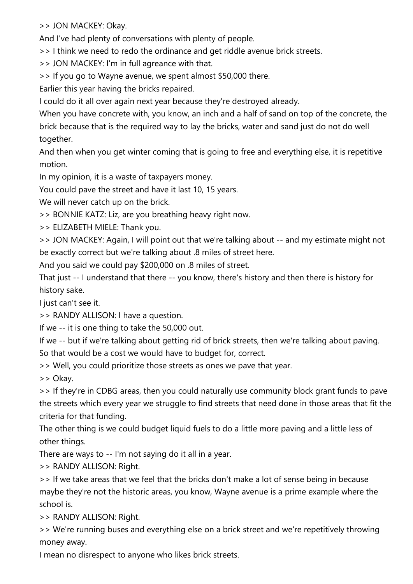>> JON MACKEY: Okay.

And I've had plenty of conversations with plenty of people.

>> I think we need to redo the ordinance and get riddle avenue brick streets.

>> JON MACKEY: I'm in full agreance with that.

>> If you go to Wayne avenue, we spent almost \$50,000 there.

Earlier this year having the bricks repaired.

I could do it all over again next year because they're destroyed already.

When you have concrete with, you know, an inch and a half of sand on top of the concrete, the brick because that is the required way to lay the bricks, water and sand just do not do well together.

And then when you get winter coming that is going to free and everything else, it is repetitive motion.

In my opinion, it is a waste of taxpayers money.

You could pave the street and have it last 10, 15 years.

We will never catch up on the brick.

>> BONNIE KATZ: Liz, are you breathing heavy right now.

>> ELIZABETH MIELE: Thank you.

>> JON MACKEY: Again, I will point out that we're talking about -- and my estimate might not be exactly correct but we're talking about .8 miles of street here.

And you said we could pay \$200,000 on .8 miles of street.

That just -- I understand that there -- you know, there's history and then there is history for history sake.

I just can't see it.

>> RANDY ALLISON: I have a question.

If we -- it is one thing to take the 50,000 out.

If we -- but if we're talking about getting rid of brick streets, then we're talking about paving. So that would be a cost we would have to budget for, correct.

>> Well, you could prioritize those streets as ones we pave that year.

>> Okay.

>> If they're in CDBG areas, then you could naturally use community block grant funds to pave the streets which every year we struggle to find streets that need done in those areas that fit the criteria for that funding.

The other thing is we could budget liquid fuels to do a little more paving and a little less of other things.

There are ways to -- I'm not saying do it all in a year.

>> RANDY ALLISON: Right.

>> If we take areas that we feel that the bricks don't make a lot of sense being in because maybe they're not the historic areas, you know, Wayne avenue is a prime example where the school is.

>> RANDY ALLISON: Right.

>> We're running buses and everything else on a brick street and we're repetitively throwing money away.

I mean no disrespect to anyone who likes brick streets.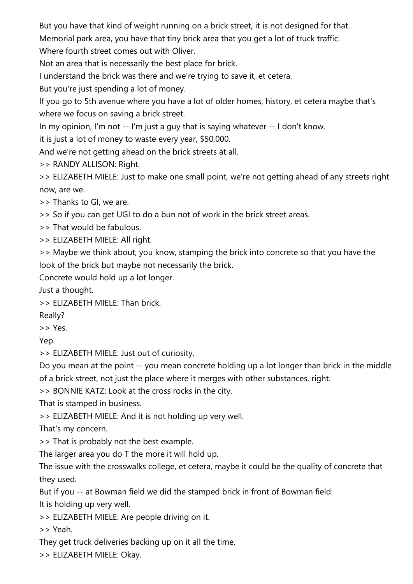But you have that kind of weight running on a brick street, it is not designed for that.

Memorial park area, you have that tiny brick area that you get a lot of truck traffic.

Where fourth street comes out with Oliver.

Not an area that is necessarily the best place for brick.

I understand the brick was there and we're trying to save it, et cetera.

But you're just spending a lot of money.

If you go to 5th avenue where you have a lot of older homes, history, et cetera maybe that's where we focus on saving a brick street.

In my opinion, I'm not -- I'm just a guy that is saying whatever -- I don't know.

it is just a lot of money to waste every year, \$50,000.

And we're not getting ahead on the brick streets at all.

>> RANDY ALLISON: Right.

>> ELIZABETH MIELE: Just to make one small point, we're not getting ahead of any streets right now, are we.

>> Thanks to GI, we are.

>> So if you can get UGI to do a bun not of work in the brick street areas.

>> That would be fabulous.

>> ELIZABETH MIELE: All right.

>> Maybe we think about, you know, stamping the brick into concrete so that you have the look of the brick but maybe not necessarily the brick.

Concrete would hold up a lot longer.

Just a thought.

>> ELIZABETH MIELE: Than brick.

Really?

>> Yes.

Yep.

>> ELIZABETH MIELE: Just out of curiosity.

Do you mean at the point -- you mean concrete holding up a lot longer than brick in the middle of a brick street, not just the place where it merges with other substances, right.

>> BONNIE KATZ: Look at the cross rocks in the city.

That is stamped in business.

>> ELIZABETH MIELE: And it is not holding up very well.

That's my concern.

>> That is probably not the best example.

The larger area you do T the more it will hold up.

The issue with the crosswalks college, et cetera, maybe it could be the quality of concrete that they used.

But if you -- at Bowman field we did the stamped brick in front of Bowman field.

It is holding up very well.

>> ELIZABETH MIELE: Are people driving on it.

>> Yeah.

They get truck deliveries backing up on it all the time.

>> ELIZABETH MIELE: Okay.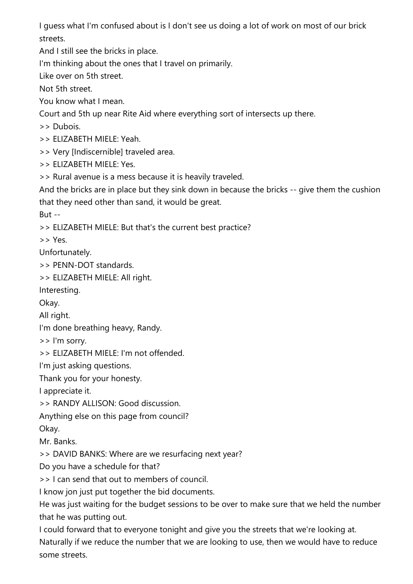I guess what I'm confused about is I don't see us doing a lot of work on most of our brick streets.

And I still see the bricks in place.

I'm thinking about the ones that I travel on primarily.

Like over on 5th street.

Not 5th street.

You know what I mean.

Court and 5th up near Rite Aid where everything sort of intersects up there.

>> Dubois.

>> ELIZABETH MIELE: Yeah.

>> Very [Indiscernible] traveled area.

>> ELIZABETH MIELE: Yes.

>> Rural avenue is a mess because it is heavily traveled.

And the bricks are in place but they sink down in because the bricks -- give them the cushion that they need other than sand, it would be great.

But --

>> ELIZABETH MIELE: But that's the current best practice?

>> Yes.

Unfortunately.

>> PENN-DOT standards.

>> ELIZABETH MIELE: All right.

Interesting.

Okay.

All right.

I'm done breathing heavy, Randy.

>> I'm sorry.

>> ELIZABETH MIELE: I'm not offended.

I'm just asking questions.

Thank you for your honesty.

I appreciate it.

>> RANDY ALLISON: Good discussion.

Anything else on this page from council?

Okay.

Mr. Banks.

>> DAVID BANKS: Where are we resurfacing next year?

Do you have a schedule for that?

>> I can send that out to members of council.

I know jon just put together the bid documents.

He was just waiting for the budget sessions to be over to make sure that we held the number that he was putting out.

I could forward that to everyone tonight and give you the streets that we're looking at. Naturally if we reduce the number that we are looking to use, then we would have to reduce some streets.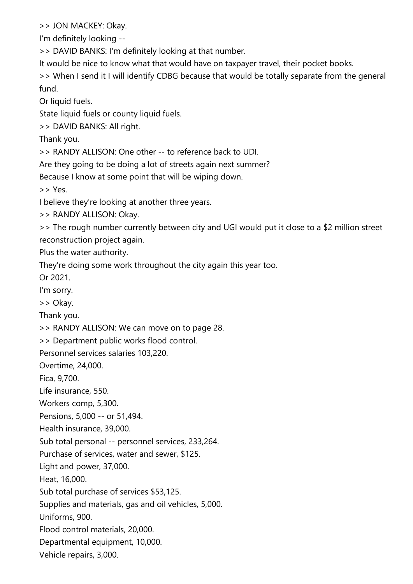>> JON MACKEY: Okay.

I'm definitely looking --

>> DAVID BANKS: I'm definitely looking at that number.

It would be nice to know what that would have on taxpayer travel, their pocket books.

>> When I send it I will identify CDBG because that would be totally separate from the general fund.

Or liquid fuels.

State liquid fuels or county liquid fuels.

>> DAVID BANKS: All right.

Thank you.

>> RANDY ALLISON: One other -- to reference back to UDI.

Are they going to be doing a lot of streets again next summer?

Because I know at some point that will be wiping down.

>> Yes.

I believe they're looking at another three years.

>> RANDY ALLISON: Okay.

>> The rough number currently between city and UGI would put it close to a \$2 million street reconstruction project again.

Plus the water authority.

They're doing some work throughout the city again this year too.

Or 2021.

I'm sorry.

>> Okay.

Thank you.

>> RANDY ALLISON: We can move on to page 28.

>> Department public works flood control.

Personnel services salaries 103,220.

Overtime, 24,000.

Fica, 9,700.

Life insurance, 550.

Workers comp, 5,300.

Pensions, 5,000 -- or 51,494.

Health insurance, 39,000.

Sub total personal -- personnel services, 233,264.

Purchase of services, water and sewer, \$125.

Light and power, 37,000.

Heat, 16,000.

Sub total purchase of services \$53,125.

Supplies and materials, gas and oil vehicles, 5,000.

Uniforms, 900.

Flood control materials, 20,000.

Departmental equipment, 10,000.

Vehicle repairs, 3,000.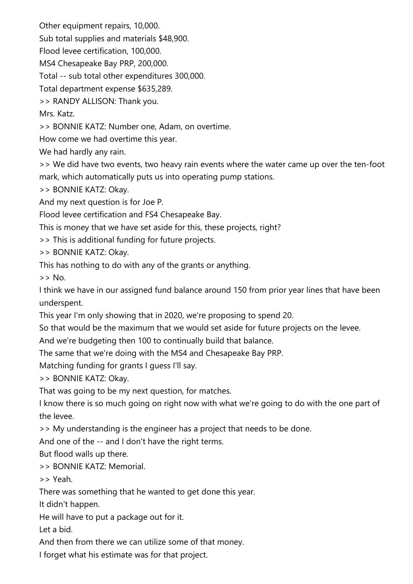Other equipment repairs, 10,000.

Sub total supplies and materials \$48,900.

Flood levee certification, 100,000.

MS4 Chesapeake Bay PRP, 200,000.

Total -- sub total other expenditures 300,000.

Total department expense \$635,289.

>> RANDY ALLISON: Thank you.

Mrs. Katz.

>> BONNIE KATZ: Number one, Adam, on overtime.

How come we had overtime this year.

We had hardly any rain.

>> We did have two events, two heavy rain events where the water came up over the ten-foot mark, which automatically puts us into operating pump stations.

>> BONNIE KATZ: Okay.

And my next question is for Joe P.

Flood levee certification and FS4 Chesapeake Bay.

This is money that we have set aside for this, these projects, right?

>> This is additional funding for future projects.

>> BONNIE KATZ: Okay.

This has nothing to do with any of the grants or anything.

 $\geq$  No.

I think we have in our assigned fund balance around 150 from prior year lines that have been underspent.

This year I'm only showing that in 2020, we're proposing to spend 20.

So that would be the maximum that we would set aside for future projects on the levee.

And we're budgeting then 100 to continually build that balance.

The same that we're doing with the MS4 and Chesapeake Bay PRP.

Matching funding for grants I guess I'll say.

>> BONNIE KATZ: Okay.

That was going to be my next question, for matches.

I know there is so much going on right now with what we're going to do with the one part of the levee.

>> My understanding is the engineer has a project that needs to be done.

And one of the -- and I don't have the right terms.

But flood walls up there.

>> BONNIE KATZ: Memorial.

>> Yeah.

There was something that he wanted to get done this year.

It didn't happen.

He will have to put a package out for it.

Let a bid.

And then from there we can utilize some of that money.

I forget what his estimate was for that project.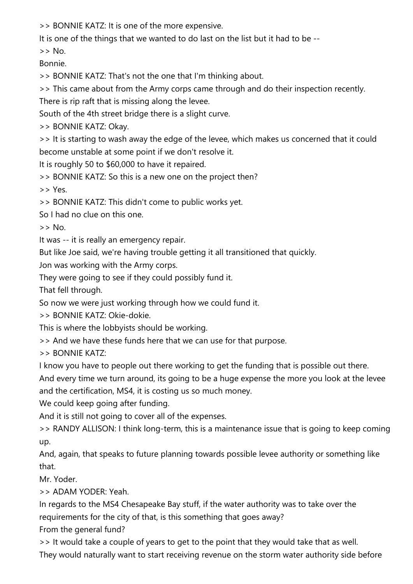>> BONNIE KATZ: It is one of the more expensive.

It is one of the things that we wanted to do last on the list but it had to be --

 $>>$  No.

Bonnie.

>> BONNIE KATZ: That's not the one that I'm thinking about.

>> This came about from the Army corps came through and do their inspection recently.

There is rip raft that is missing along the levee.

South of the 4th street bridge there is a slight curve.

>> BONNIE KATZ: Okay.

>> It is starting to wash away the edge of the levee, which makes us concerned that it could become unstable at some point if we don't resolve it.

It is roughly 50 to \$60,000 to have it repaired.

>> BONNIE KATZ: So this is a new one on the project then?

>> Yes.

>> BONNIE KATZ: This didn't come to public works yet.

So I had no clue on this one.

>> No.

It was -- it is really an emergency repair.

But like Joe said, we're having trouble getting it all transitioned that quickly.

Jon was working with the Army corps.

They were going to see if they could possibly fund it.

That fell through.

So now we were just working through how we could fund it.

>> BONNIE KATZ: Okie-dokie.

This is where the lobbyists should be working.

>> And we have these funds here that we can use for that purpose.

>> BONNIE KATZ:

I know you have to people out there working to get the funding that is possible out there.

And every time we turn around, its going to be a huge expense the more you look at the levee and the certification, MS4, it is costing us so much money.

We could keep going after funding.

And it is still not going to cover all of the expenses.

>> RANDY ALLISON: I think long-term, this is a maintenance issue that is going to keep coming up.

And, again, that speaks to future planning towards possible levee authority or something like that.

Mr. Yoder.

>> ADAM YODER: Yeah.

In regards to the MS4 Chesapeake Bay stuff, if the water authority was to take over the requirements for the city of that, is this something that goes away?

From the general fund?

>> It would take a couple of years to get to the point that they would take that as well.

They would naturally want to start receiving revenue on the storm water authority side before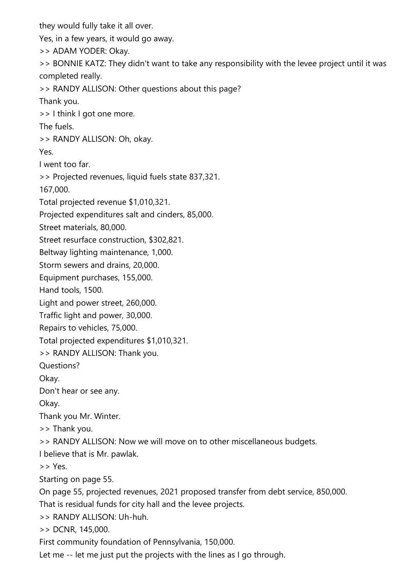they would fully take it all over.

Yes, in a few years, it would go away.

>> ADAM YODER: Okay.

>> BONNIE KATZ: They didn't want to take any responsibility with the levee project until it was completed really.

>> RANDY ALLISON: Other questions about this page?

Thank you.

>> I think I got one more.

The fuels.

>> RANDY ALLISON: Oh, okay.

Yes.

I went too far.

>> Projected revenues, liquid fuels state 837,321.

167,000.

Total projected revenue \$1,010,321.

Projected expenditures salt and cinders, 85,000.

Street materials, 80,000.

Street resurface construction, \$302,821.

Beltway lighting maintenance, 1,000.

Storm sewers and drains, 20,000.

Equipment purchases, 155,000.

Hand tools, 1500.

Light and power street, 260,000.

Traffic light and power, 30,000.

Repairs to vehicles, 75,000.

Total projected expenditures \$1,010,321.

>> RANDY ALLISON: Thank you.

Questions?

Okay.

Don't hear or see any.

Okay.

Thank you Mr. Winter.

>> Thank you.

>> RANDY ALLISON: Now we will move on to other miscellaneous budgets.

I believe that is Mr. pawlak.

>> Yes.

Starting on page 55.

On page 55, projected revenues, 2021 proposed transfer from debt service, 850,000.

That is residual funds for city hall and the levee projects.

>> RANDY ALLISON: Uh-huh.

>> DCNR, 145,000.

First community foundation of Pennsylvania, 150,000.

Let me -- let me just put the projects with the lines as I go through.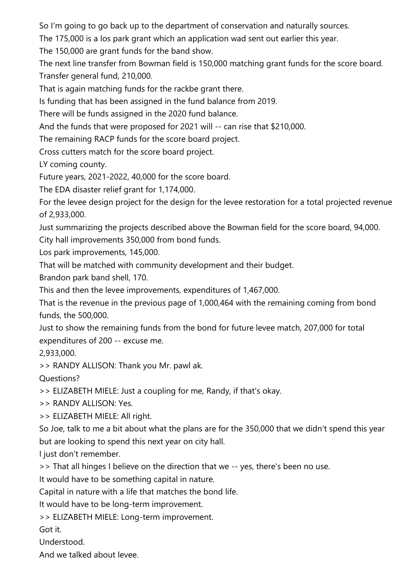So I'm going to go back up to the department of conservation and naturally sources.

The 175,000 is a los park grant which an application wad sent out earlier this year.

The 150,000 are grant funds for the band show.

The next line transfer from Bowman field is 150,000 matching grant funds for the score board. Transfer general fund, 210,000.

That is again matching funds for the rackbe grant there.

Is funding that has been assigned in the fund balance from 2019.

There will be funds assigned in the 2020 fund balance.

And the funds that were proposed for 2021 will -- can rise that \$210,000.

The remaining RACP funds for the score board project.

Cross cutters match for the score board project.

LY coming county.

Future years, 2021-2022, 40,000 for the score board.

The EDA disaster relief grant for 1,174,000.

For the levee design project for the design for the levee restoration for a total projected revenue of 2,933,000.

Just summarizing the projects described above the Bowman field for the score board, 94,000. City hall improvements 350,000 from bond funds.

Los park improvements, 145,000.

That will be matched with community development and their budget.

Brandon park band shell, 170.

This and then the levee improvements, expenditures of 1,467,000.

That is the revenue in the previous page of 1,000,464 with the remaining coming from bond funds, the 500,000.

Just to show the remaining funds from the bond for future levee match, 207,000 for total expenditures of 200 -- excuse me.

2,933,000.

>> RANDY ALLISON: Thank you Mr. pawl ak.

Questions?

>> ELIZABETH MIELE: Just a coupling for me, Randy, if that's okay.

>> RANDY ALLISON: Yes.

>> ELIZABETH MIELE: All right.

So Joe, talk to me a bit about what the plans are for the 350,000 that we didn't spend this year but are looking to spend this next year on city hall.

I just don't remember.

>> That all hinges I believe on the direction that we -- yes, there's been no use.

It would have to be something capital in nature.

Capital in nature with a life that matches the bond life.

It would have to be long-term improvement.

>> ELIZABETH MIELE: Long-term improvement.

Got it.

Understood.

And we talked about levee.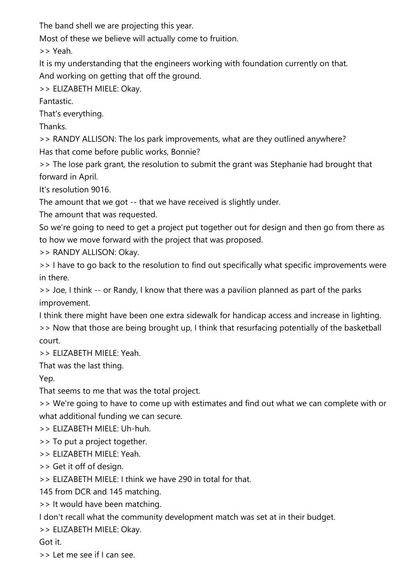The band shell we are projecting this year.

Most of these we believe will actually come to fruition.

>> Yeah.

It is my understanding that the engineers working with foundation currently on that.

And working on getting that off the ground.

>> ELIZABETH MIELE: Okay.

Fantastic.

That's everything.

Thanks.

>> RANDY ALLISON: The los park improvements, what are they outlined anywhere? Has that come before public works, Bonnie?

>> The lose park grant, the resolution to submit the grant was Stephanie had brought that forward in April.

It's resolution 9016.

The amount that we got -- that we have received is slightly under.

The amount that was requested.

So we're going to need to get a project put together out for design and then go from there as to how we move forward with the project that was proposed.

>> RANDY ALLISON: Okay.

>> I have to go back to the resolution to find out specifically what specific improvements were in there.

>> Joe, I think -- or Randy, I know that there was a pavilion planned as part of the parks improvement.

I think there might have been one extra sidewalk for handicap access and increase in lighting. >> Now that those are being brought up, I think that resurfacing potentially of the basketball court.

>> ELIZABETH MIELE: Yeah.

That was the last thing.

Yep.

That seems to me that was the total project.

>> We're going to have to come up with estimates and find out what we can complete with or what additional funding we can secure.

>> ELIZABETH MIELE: Uh-huh.

>> To put a project together.

>> ELIZABETH MIELE: Yeah.

>> Get it off of design.

>> ELIZABETH MIELE: I think we have 290 in total for that.

145 from DCR and 145 matching.

>> It would have been matching.

I don't recall what the community development match was set at in their budget.

>> ELIZABETH MIELE: Okay.

Got it.

>> Let me see if I can see.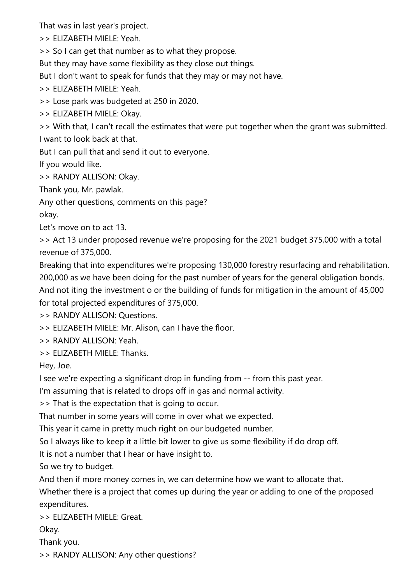That was in last year's project.

>> ELIZABETH MIELE: Yeah.

>> So I can get that number as to what they propose.

But they may have some flexibility as they close out things.

But I don't want to speak for funds that they may or may not have.

>> ELIZABETH MIELE: Yeah.

>> Lose park was budgeted at 250 in 2020.

>> ELIZABETH MIELE: Okay.

>> With that, I can't recall the estimates that were put together when the grant was submitted. I want to look back at that.

But I can pull that and send it out to everyone.

If you would like.

>> RANDY ALLISON: Okay.

Thank you, Mr. pawlak.

Any other questions, comments on this page?

okay.

Let's move on to act 13.

>> Act 13 under proposed revenue we're proposing for the 2021 budget 375,000 with a total revenue of 375,000.

Breaking that into expenditures we're proposing 130,000 forestry resurfacing and rehabilitation. 200,000 as we have been doing for the past number of years for the general obligation bonds. And not iting the investment o or the building of funds for mitigation in the amount of 45,000 for total projected expenditures of 375,000.

>> RANDY ALLISON: Questions.

>> ELIZABETH MIELE: Mr. Alison, can I have the floor.

>> RANDY ALLISON: Yeah.

>> ELIZABETH MIELE: Thanks.

Hey, Joe.

I see we're expecting a significant drop in funding from -- from this past year.

I'm assuming that is related to drops off in gas and normal activity.

>> That is the expectation that is going to occur.

That number in some years will come in over what we expected.

This year it came in pretty much right on our budgeted number.

So I always like to keep it a little bit lower to give us some flexibility if do drop off.

It is not a number that I hear or have insight to.

So we try to budget.

And then if more money comes in, we can determine how we want to allocate that.

Whether there is a project that comes up during the year or adding to one of the proposed expenditures.

>> ELIZABETH MIELE: Great.

Okay.

Thank you.

>> RANDY ALLISON: Any other questions?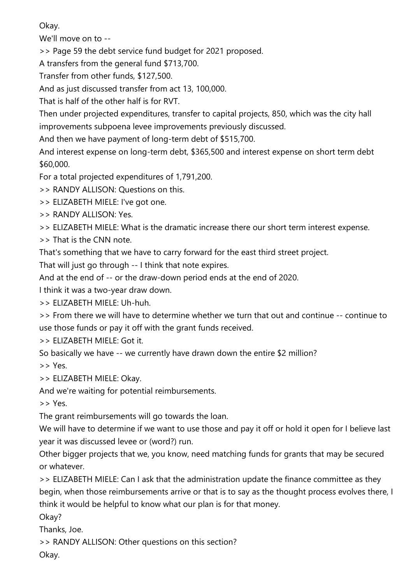Okay.

We'll move on to --

>> Page 59 the debt service fund budget for 2021 proposed.

A transfers from the general fund \$713,700.

Transfer from other funds, \$127,500.

And as just discussed transfer from act 13, 100,000.

That is half of the other half is for RVT.

Then under projected expenditures, transfer to capital projects, 850, which was the city hall improvements subpoena levee improvements previously discussed.

And then we have payment of long-term debt of \$515,700.

And interest expense on long-term debt, \$365,500 and interest expense on short term debt \$60,000.

For a total projected expenditures of 1,791,200.

>> RANDY ALLISON: Questions on this.

>> ELIZABETH MIELE: I've got one.

>> RANDY ALLISON: Yes.

>> ELIZABETH MIELE: What is the dramatic increase there our short term interest expense.

>> That is the CNN note.

That's something that we have to carry forward for the east third street project.

That will just go through -- I think that note expires.

And at the end of -- or the draw-down period ends at the end of 2020.

I think it was a two-year draw down.

>> ELIZABETH MIELE: Uh-huh.

>> From there we will have to determine whether we turn that out and continue -- continue to use those funds or pay it off with the grant funds received.

>> ELIZABETH MIELE: Got it.

So basically we have -- we currently have drawn down the entire \$2 million?

>> Yes.

>> ELIZABETH MIELE: Okay.

And we're waiting for potential reimbursements.

>> Yes.

The grant reimbursements will go towards the loan.

We will have to determine if we want to use those and pay it off or hold it open for I believe last year it was discussed levee or (word?) run.

Other bigger projects that we, you know, need matching funds for grants that may be secured or whatever.

>> ELIZABETH MIELE: Can I ask that the administration update the finance committee as they begin, when those reimbursements arrive or that is to say as the thought process evolves there, I think it would be helpful to know what our plan is for that money.

Okay?

Thanks, Joe.

>> RANDY ALLISON: Other questions on this section?

Okay.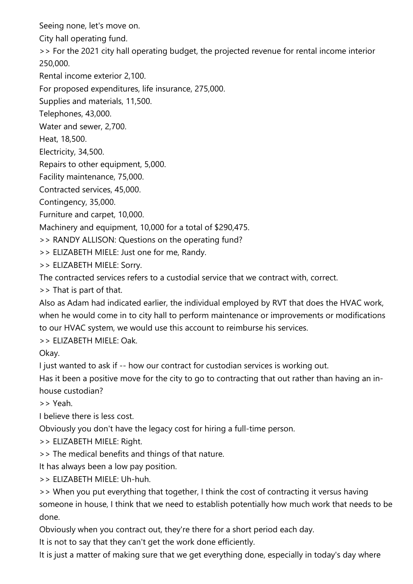Seeing none, let's move on.

City hall operating fund.

>> For the 2021 city hall operating budget, the projected revenue for rental income interior 250,000.

Rental income exterior 2,100.

For proposed expenditures, life insurance, 275,000.

Supplies and materials, 11,500.

Telephones, 43,000.

Water and sewer, 2,700.

Heat, 18,500.

Electricity, 34,500.

Repairs to other equipment, 5,000.

Facility maintenance, 75,000.

Contracted services, 45,000.

Contingency, 35,000.

Furniture and carpet, 10,000.

Machinery and equipment, 10,000 for a total of \$290,475.

>> RANDY ALLISON: Questions on the operating fund?

>> ELIZABETH MIELE: Just one for me, Randy.

>> ELIZABETH MIELE: Sorry.

The contracted services refers to a custodial service that we contract with, correct.

>> That is part of that.

Also as Adam had indicated earlier, the individual employed by RVT that does the HVAC work, when he would come in to city hall to perform maintenance or improvements or modifications to our HVAC system, we would use this account to reimburse his services.

>> ELIZABETH MIELE: Oak.

Okay.

I just wanted to ask if -- how our contract for custodian services is working out.

Has it been a positive move for the city to go to contracting that out rather than having an inhouse custodian?

>> Yeah.

I believe there is less cost.

Obviously you don't have the legacy cost for hiring a full-time person.

>> ELIZABETH MIELE: Right.

>> The medical benefits and things of that nature.

It has always been a low pay position.

>> ELIZABETH MIELE: Uh-huh.

>> When you put everything that together, I think the cost of contracting it versus having someone in house, I think that we need to establish potentially how much work that needs to be done.

Obviously when you contract out, they're there for a short period each day.

It is not to say that they can't get the work done efficiently.

It is just a matter of making sure that we get everything done, especially in today's day where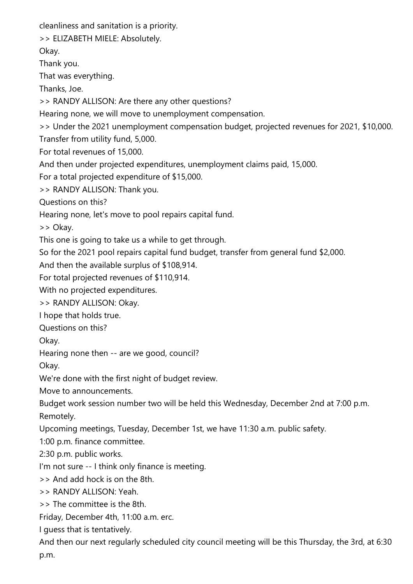cleanliness and sanitation is a priority.

>> ELIZABETH MIELE: Absolutely.

Okay.

Thank you.

That was everything.

Thanks, Joe.

>> RANDY ALLISON: Are there any other questions?

Hearing none, we will move to unemployment compensation.

>> Under the 2021 unemployment compensation budget, projected revenues for 2021, \$10,000.

Transfer from utility fund, 5,000.

For total revenues of 15,000.

And then under projected expenditures, unemployment claims paid, 15,000.

For a total projected expenditure of \$15,000.

>> RANDY ALLISON: Thank you.

Questions on this?

Hearing none, let's move to pool repairs capital fund.

>> Okay.

This one is going to take us a while to get through.

So for the 2021 pool repairs capital fund budget, transfer from general fund \$2,000.

And then the available surplus of \$108,914.

For total projected revenues of \$110,914.

With no projected expenditures.

>> RANDY ALLISON: Okay.

I hope that holds true.

Questions on this?

Okay.

Hearing none then -- are we good, council?

Okay.

We're done with the first night of budget review.

Move to announcements.

Budget work session number two will be held this Wednesday, December 2nd at 7:00 p.m. Remotely.

Upcoming meetings, Tuesday, December 1st, we have 11:30 a.m. public safety.

1:00 p.m. finance committee.

2:30 p.m. public works.

I'm not sure -- I think only finance is meeting.

>> And add hock is on the 8th.

>> RANDY ALLISON: Yeah.

>> The committee is the 8th.

Friday, December 4th, 11:00 a.m. erc.

I guess that is tentatively.

And then our next regularly scheduled city council meeting will be this Thursday, the 3rd, at 6:30 p.m.